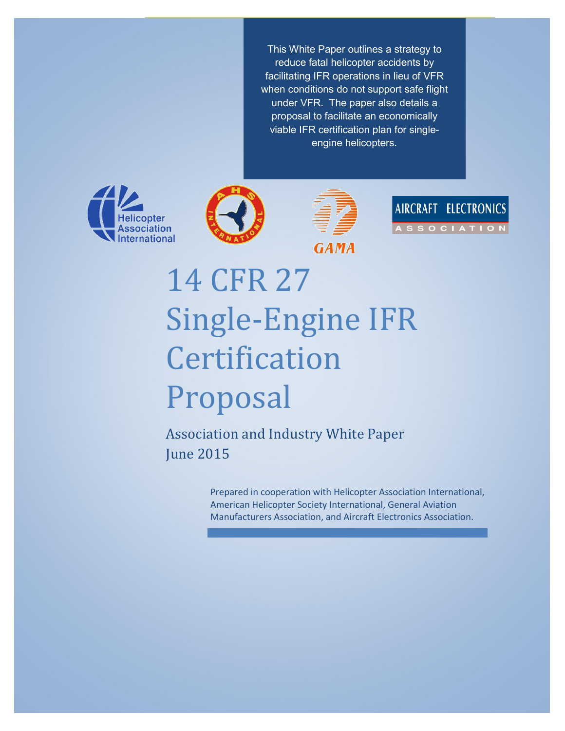**Enabling Normal-Category (Part 27) Single-Engine Rotorcraft IFR for Operational Safety Enhancement Chance This White Paper outlines a strategy to** reduce fatal helicopter accidents by facilitating IFR operations in lieu of VFR when conditions do not support safe flight under VFR. The paper also details a proposal to facilitate an economically viable IFR certification plan for singleengine helicopters.









# 14 CFR 27 Single-Engine IFR Certification Proposal

Association and Industry White Paper June 2015

> Prepared in cooperation with Helicopter Association International, American Helicopter Society International, General Aviation Manufacturers Association, and Aircraft Electronics Association.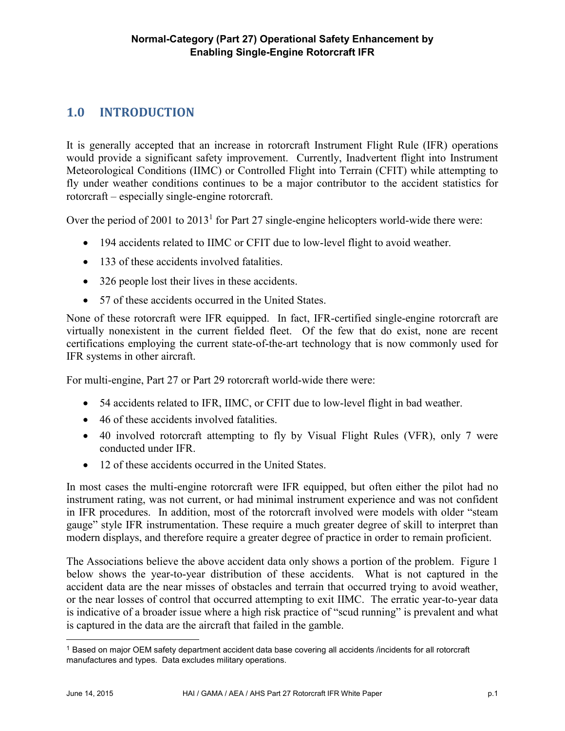# **1.0 INTRODUCTION**

It is generally accepted that an increase in rotorcraft Instrument Flight Rule (IFR) operations would provide a significant safety improvement. Currently, Inadvertent flight into Instrument Meteorological Conditions (IIMC) or Controlled Flight into Terrain (CFIT) while attempting to fly under weather conditions continues to be a major contributor to the accident statistics for rotorcraft – especially single-engine rotorcraft.

Over the period of 2001 to  $2013<sup>1</sup>$  for Part 27 single-engine helicopters world-wide there were:

- 194 accidents related to IIMC or CFIT due to low-level flight to avoid weather.
- 133 of these accidents involved fatalities.
- 326 people lost their lives in these accidents.
- 57 of these accidents occurred in the United States.

None of these rotorcraft were IFR equipped. In fact, IFR-certified single-engine rotorcraft are virtually nonexistent in the current fielded fleet. Of the few that do exist, none are recent certifications employing the current state-of-the-art technology that is now commonly used for IFR systems in other aircraft.

For multi-engine, Part 27 or Part 29 rotorcraft world-wide there were:

- 54 accidents related to IFR, IIMC, or CFIT due to low-level flight in bad weather.
- 46 of these accidents involved fatalities.
- 40 involved rotorcraft attempting to fly by Visual Flight Rules (VFR), only 7 were conducted under IFR.
- 12 of these accidents occurred in the United States.

In most cases the multi-engine rotorcraft were IFR equipped, but often either the pilot had no instrument rating, was not current, or had minimal instrument experience and was not confident in IFR procedures. In addition, most of the rotorcraft involved were models with older "steam gauge" style IFR instrumentation. These require a much greater degree of skill to interpret than modern displays, and therefore require a greater degree of practice in order to remain proficient.

The Associations believe the above accident data only shows a portion of the problem. Figure 1 below shows the year-to-year distribution of these accidents. What is not captured in the accident data are the near misses of obstacles and terrain that occurred trying to avoid weather, or the near losses of control that occurred attempting to exit IIMC. The erratic year-to-year data is indicative of a broader issue where a high risk practice of "scud running" is prevalent and what is captured in the data are the aircraft that failed in the gamble.

 <sup>1</sup> Based on major OEM safety department accident data base covering all accidents /incidents for all rotorcraft manufactures and types. Data excludes military operations.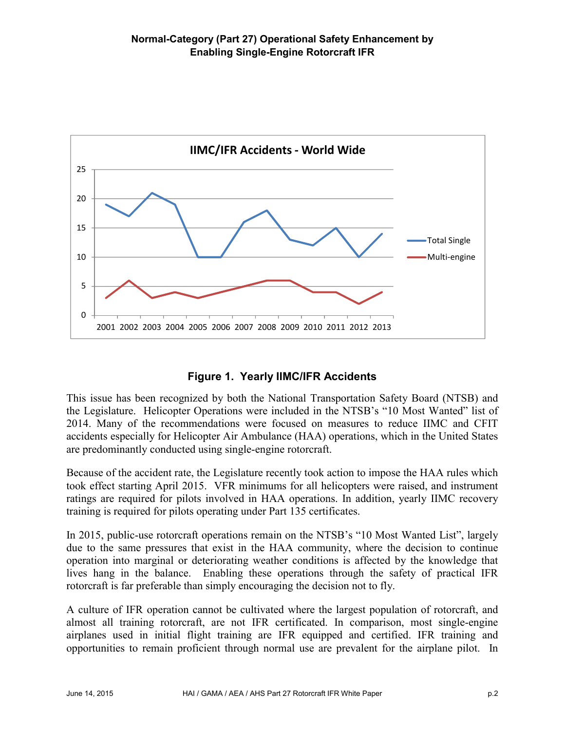

# **Figure 1. Yearly IIMC/IFR Accidents**

This issue has been recognized by both the National Transportation Safety Board (NTSB) and the Legislature. Helicopter Operations were included in the NTSB's "10 Most Wanted" list of 2014. Many of the recommendations were focused on measures to reduce IIMC and CFIT accidents especially for Helicopter Air Ambulance (HAA) operations, which in the United States are predominantly conducted using single-engine rotorcraft.

Because of the accident rate, the Legislature recently took action to impose the HAA rules which took effect starting April 2015. VFR minimums for all helicopters were raised, and instrument ratings are required for pilots involved in HAA operations. In addition, yearly IIMC recovery training is required for pilots operating under Part 135 certificates.

In 2015, public-use rotorcraft operations remain on the NTSB's "10 Most Wanted List", largely due to the same pressures that exist in the HAA community, where the decision to continue operation into marginal or deteriorating weather conditions is affected by the knowledge that lives hang in the balance. Enabling these operations through the safety of practical IFR rotorcraft is far preferable than simply encouraging the decision not to fly.

A culture of IFR operation cannot be cultivated where the largest population of rotorcraft, and almost all training rotorcraft, are not IFR certificated. In comparison, most single-engine airplanes used in initial flight training are IFR equipped and certified. IFR training and opportunities to remain proficient through normal use are prevalent for the airplane pilot. In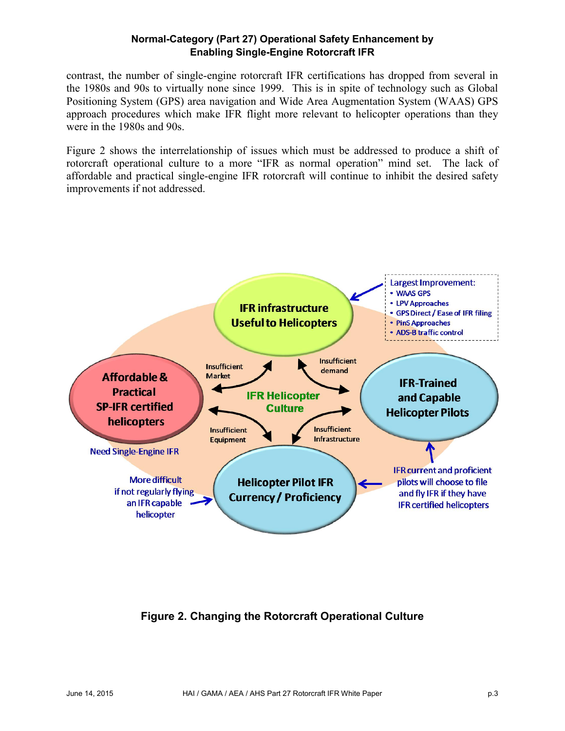contrast, the number of single-engine rotorcraft IFR certifications has dropped from several in the 1980s and 90s to virtually none since 1999. This is in spite of technology such as Global Positioning System (GPS) area navigation and Wide Area Augmentation System (WAAS) GPS approach procedures which make IFR flight more relevant to helicopter operations than they were in the 1980s and 90s.

Figure 2 shows the interrelationship of issues which must be addressed to produce a shift of rotorcraft operational culture to a more "IFR as normal operation" mind set. The lack of affordable and practical single-engine IFR rotorcraft will continue to inhibit the desired safety improvements if not addressed.



**Figure 2. Changing the Rotorcraft Operational Culture**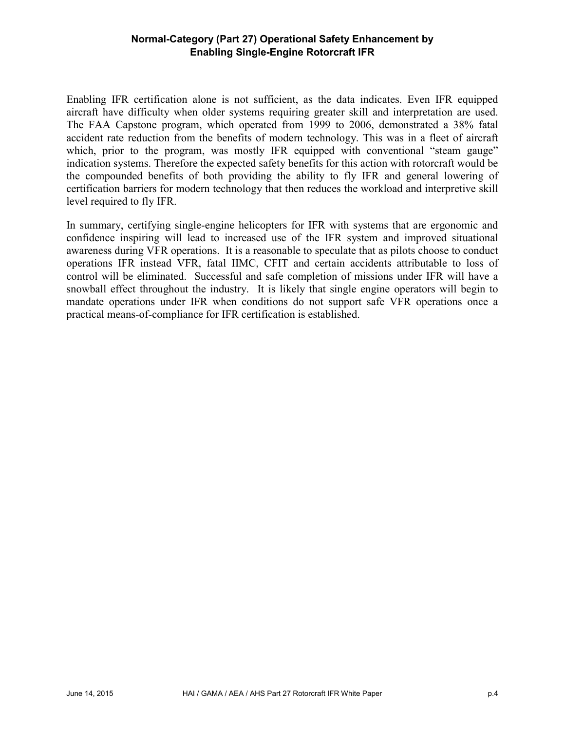Enabling IFR certification alone is not sufficient, as the data indicates. Even IFR equipped aircraft have difficulty when older systems requiring greater skill and interpretation are used. The FAA Capstone program, which operated from 1999 to 2006, demonstrated a 38% fatal accident rate reduction from the benefits of modern technology. This was in a fleet of aircraft which, prior to the program, was mostly IFR equipped with conventional "steam gauge" indication systems. Therefore the expected safety benefits for this action with rotorcraft would be the compounded benefits of both providing the ability to fly IFR and general lowering of certification barriers for modern technology that then reduces the workload and interpretive skill level required to fly IFR.

In summary, certifying single-engine helicopters for IFR with systems that are ergonomic and confidence inspiring will lead to increased use of the IFR system and improved situational awareness during VFR operations. It is a reasonable to speculate that as pilots choose to conduct operations IFR instead VFR, fatal IIMC, CFIT and certain accidents attributable to loss of control will be eliminated. Successful and safe completion of missions under IFR will have a snowball effect throughout the industry. It is likely that single engine operators will begin to mandate operations under IFR when conditions do not support safe VFR operations once a practical means-of-compliance for IFR certification is established.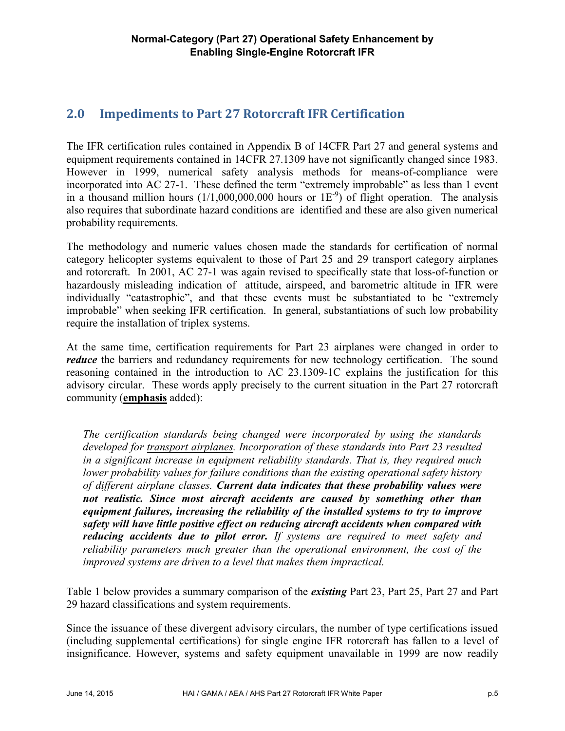# **2.0 Impediments to Part 27 Rotorcraft IFR Certification**

The IFR certification rules contained in Appendix B of 14CFR Part 27 and general systems and equipment requirements contained in 14CFR 27.1309 have not significantly changed since 1983. However in 1999, numerical safety analysis methods for means-of-compliance were incorporated into AC 27-1. These defined the term "extremely improbable" as less than 1 event in a thousand million hours  $(1/1,000,000,000$  hours or  $1E^{-9}$ ) of flight operation. The analysis also requires that subordinate hazard conditions are identified and these are also given numerical probability requirements.

The methodology and numeric values chosen made the standards for certification of normal category helicopter systems equivalent to those of Part 25 and 29 transport category airplanes and rotorcraft. In 2001, AC 27-1 was again revised to specifically state that loss-of-function or hazardously misleading indication of attitude, airspeed, and barometric altitude in IFR were individually "catastrophic", and that these events must be substantiated to be "extremely improbable" when seeking IFR certification. In general, substantiations of such low probability require the installation of triplex systems.

At the same time, certification requirements for Part 23 airplanes were changed in order to *reduce* the barriers and redundancy requirements for new technology certification. The sound reasoning contained in the introduction to AC 23.1309-1C explains the justification for this advisory circular. These words apply precisely to the current situation in the Part 27 rotorcraft community (**emphasis** added):

*The certification standards being changed were incorporated by using the standards developed for transport airplanes. Incorporation of these standards into Part 23 resulted in a significant increase in equipment reliability standards. That is, they required much lower probability values for failure conditions than the existing operational safety history of different airplane classes. Current data indicates that these probability values were not realistic. Since most aircraft accidents are caused by something other than equipment failures, increasing the reliability of the installed systems to try to improve safety will have little positive effect on reducing aircraft accidents when compared with reducing accidents due to pilot error. If systems are required to meet safety and reliability parameters much greater than the operational environment, the cost of the improved systems are driven to a level that makes them impractical.*

Table 1 below provides a summary comparison of the *existing* Part 23, Part 25, Part 27 and Part 29 hazard classifications and system requirements.

Since the issuance of these divergent advisory circulars, the number of type certifications issued (including supplemental certifications) for single engine IFR rotorcraft has fallen to a level of insignificance. However, systems and safety equipment unavailable in 1999 are now readily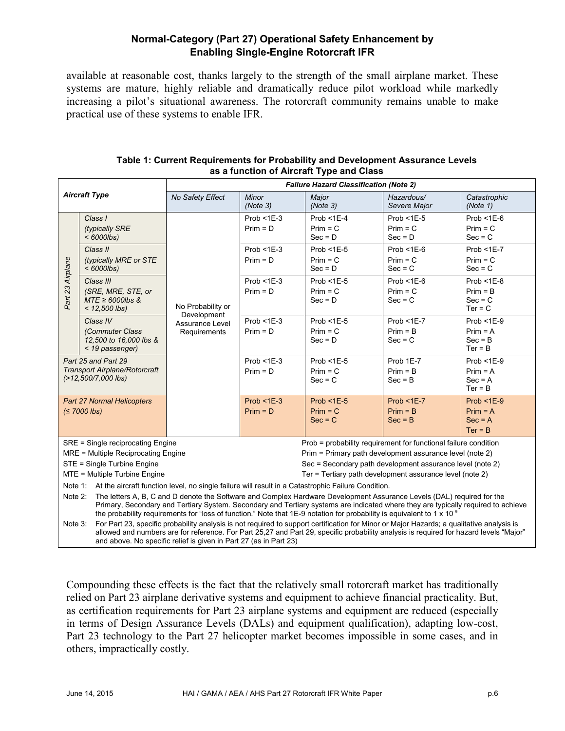available at reasonable cost, thanks largely to the strength of the small airplane market. These systems are mature, highly reliable and dramatically reduce pilot workload while markedly increasing a pilot's situational awareness. The rotorcraft community remains unable to make practical use of these systems to enable IFR.

| <b>Aircraft Type</b>                                                                                                                                                                                                                                                                                                                                                                                                                                                                                                                                                                                                                                                               |                                                                             | <b>Failure Hazard Classification (Note 2)</b>                       |                             |                                          |                                              |                                                       |  |
|------------------------------------------------------------------------------------------------------------------------------------------------------------------------------------------------------------------------------------------------------------------------------------------------------------------------------------------------------------------------------------------------------------------------------------------------------------------------------------------------------------------------------------------------------------------------------------------------------------------------------------------------------------------------------------|-----------------------------------------------------------------------------|---------------------------------------------------------------------|-----------------------------|------------------------------------------|----------------------------------------------|-------------------------------------------------------|--|
|                                                                                                                                                                                                                                                                                                                                                                                                                                                                                                                                                                                                                                                                                    |                                                                             | No Safety Effect                                                    | Minor<br>(Note 3)           | Major<br>(Note 3)                        | Hazardous/<br>Severe Major                   | Catastrophic<br>(Note 1)                              |  |
| Part 23 Airplane                                                                                                                                                                                                                                                                                                                                                                                                                                                                                                                                                                                                                                                                   | Class I<br>(typically SRE<br>$<$ 6000lbs)                                   | No Probability or<br>Development<br>Assurance Level<br>Requirements | $Prob < 1E-3$<br>$Prim = D$ | $Prob < 1E-4$<br>$Prim = C$<br>$Sec = D$ | Prob $<$ 1E-5<br>$Prim = C$<br>$Sec = D$     | $Prob < 1E-6$<br>$Prim = C$<br>$Sec = C$              |  |
|                                                                                                                                                                                                                                                                                                                                                                                                                                                                                                                                                                                                                                                                                    | Class II<br>(typically MRE or STE<br>$<$ 6000lbs)                           |                                                                     | $Prob < 1E-3$<br>$Prim = D$ | Prob $<$ 1E-5<br>$Prim = C$<br>$Sec = D$ | Prob $<$ 1 $E$ -6<br>$Prim = C$<br>$Sec = C$ | $Prob < 1E-7$<br>$Prim = C$<br>$Sec = C$              |  |
|                                                                                                                                                                                                                                                                                                                                                                                                                                                                                                                                                                                                                                                                                    | Class III<br>(SRE, MRE, STE, or<br>$MTE \geq 6000$ lbs &<br>$< 12,500$ lbs) |                                                                     | $Prob < 1E-3$<br>$Prim = D$ | Prob $<$ 1E-5<br>$Prim = C$<br>$Sec = D$ | Prob $<$ 1 $E$ -6<br>$Prim = C$<br>$Sec = C$ | $Prob < 1E-8$<br>$Prim = B$<br>$Sec = C$<br>$Ter = C$ |  |
|                                                                                                                                                                                                                                                                                                                                                                                                                                                                                                                                                                                                                                                                                    | Class IV<br>(Commuter Class<br>12,500 to 16,000 lbs &<br>< 19 passenger)    |                                                                     | $Prob < 1E-3$<br>$Prim = D$ | $Prob < 1E-5$<br>$Prim = C$<br>$Sec = D$ | $Prob < 1E-7$<br>$Prim = B$<br>$Sec = C$     | $Prob < 1E-9$<br>$Prim = A$<br>$Sec = B$<br>$Ter = B$ |  |
| Part 25 and Part 29<br><b>Transport Airplane/Rotorcraft</b><br>(>12,500/7,000 lbs)                                                                                                                                                                                                                                                                                                                                                                                                                                                                                                                                                                                                 |                                                                             |                                                                     | $Prob < 1E-3$<br>$Prim = D$ | $Prob < 1E-5$<br>$Prim = C$<br>$Sec = C$ | Prob 1E-7<br>$Prim = B$<br>$Sec = B$         | $Prob < 1E-9$<br>$Prim = A$<br>$Sec = A$<br>$Ter = B$ |  |
| <b>Part 27 Normal Helicopters</b><br>$(57000$ lbs)                                                                                                                                                                                                                                                                                                                                                                                                                                                                                                                                                                                                                                 |                                                                             |                                                                     | $Prob < 1E-3$<br>$Prim = D$ | Prob $<$ 1E-5<br>$Prim = C$<br>$Sec = C$ | $Prob < 1E-7$<br>$Prim = B$<br>$Sec = B$     | $Prob < 1E-9$<br>$Prim = A$<br>$Sec = A$<br>$Ter = B$ |  |
| Prob = probability requirement for functional failure condition<br>SRE = Single reciprocating Engine<br>MRE = Multiple Reciprocating Engine<br>Prim = Primary path development assurance level (note 2)<br>STE = Single Turbine Engine<br>Sec = Secondary path development assurance level (note 2)<br>MTE = Multiple Turbine Engine<br>Ter = Tertiary path development assurance level (note 2)                                                                                                                                                                                                                                                                                   |                                                                             |                                                                     |                             |                                          |                                              |                                                       |  |
| Note 1: At the aircraft function level, no single failure will result in a Catastrophic Failure Condition.<br>The letters A, B, C and D denote the Software and Complex Hardware Development Assurance Levels (DAL) required for the<br>Note 2:<br>Primary, Secondary and Tertiary System. Secondary and Tertiary systems are indicated where they are typically required to achieve<br>the probability requirements for "loss of function." Note that 1E-9 notation for probability is equivalent to 1 x 10 <sup>-9</sup><br>For Part 23, specific probability analysis is not required to support certification for Minor or Major Hazards; a qualitative analysis is<br>Note 3: |                                                                             |                                                                     |                             |                                          |                                              |                                                       |  |
| allowed and numbers are for reference. For Part 25,27 and Part 29, specific probability analysis is required for hazard levels "Major"                                                                                                                                                                                                                                                                                                                                                                                                                                                                                                                                             |                                                                             |                                                                     |                             |                                          |                                              |                                                       |  |

#### **Table 1: Current Requirements for Probability and Development Assurance Levels as a function of Aircraft Type and Class**

Compounding these effects is the fact that the relatively small rotorcraft market has traditionally relied on Part 23 airplane derivative systems and equipment to achieve financial practicality. But, as certification requirements for Part 23 airplane systems and equipment are reduced (especially in terms of Design Assurance Levels (DALs) and equipment qualification), adapting low-cost, Part 23 technology to the Part 27 helicopter market becomes impossible in some cases, and in others, impractically costly.

and above. No specific relief is given in Part 27 (as in Part 23)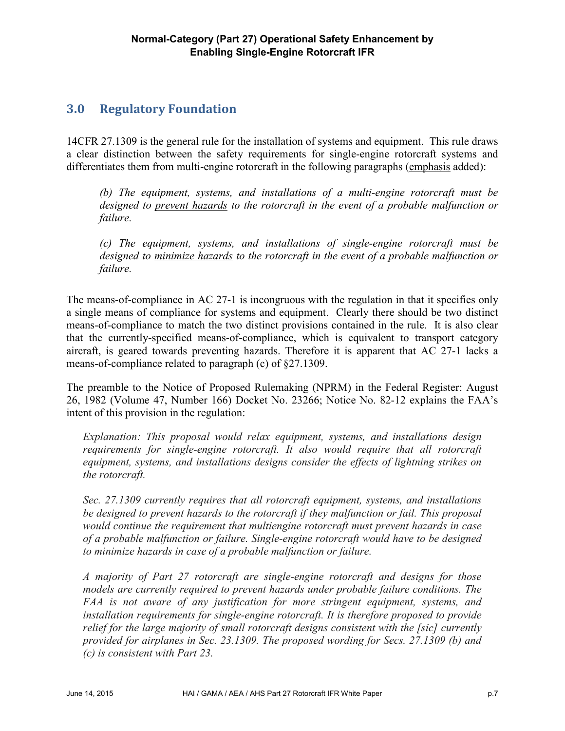# **3.0 Regulatory Foundation**

14CFR 27.1309 is the general rule for the installation of systems and equipment. This rule draws a clear distinction between the safety requirements for single-engine rotorcraft systems and differentiates them from multi-engine rotorcraft in the following paragraphs (emphasis added):

*(b) The equipment, systems, and installations of a multi-engine rotorcraft must be designed to prevent hazards to the rotorcraft in the event of a probable malfunction or failure.*

*(c) The equipment, systems, and installations of single-engine rotorcraft must be designed to minimize hazards to the rotorcraft in the event of a probable malfunction or failure.*

The means-of-compliance in AC 27-1 is incongruous with the regulation in that it specifies only a single means of compliance for systems and equipment. Clearly there should be two distinct means-of-compliance to match the two distinct provisions contained in the rule. It is also clear that the currently-specified means-of-compliance, which is equivalent to transport category aircraft, is geared towards preventing hazards. Therefore it is apparent that AC 27-1 lacks a means-of-compliance related to paragraph (c) of §27.1309.

The preamble to the Notice of Proposed Rulemaking (NPRM) in the Federal Register: August 26, 1982 (Volume 47, Number 166) Docket No. 23266; Notice No. 82-12 explains the FAA's intent of this provision in the regulation:

*Explanation: This proposal would relax equipment, systems, and installations design*  requirements for single-engine rotorcraft. It also would require that all rotorcraft *equipment, systems, and installations designs consider the effects of lightning strikes on the rotorcraft.*

*Sec. 27.1309 currently requires that all rotorcraft equipment, systems, and installations be designed to prevent hazards to the rotorcraft if they malfunction or fail. This proposal would continue the requirement that multiengine rotorcraft must prevent hazards in case of a probable malfunction or failure. Single-engine rotorcraft would have to be designed to minimize hazards in case of a probable malfunction or failure.*

*A majority of Part 27 rotorcraft are single-engine rotorcraft and designs for those models are currently required to prevent hazards under probable failure conditions. The FAA is not aware of any justification for more stringent equipment, systems, and installation requirements for single-engine rotorcraft. It is therefore proposed to provide relief for the large majority of small rotorcraft designs consistent with the [sic] currently provided for airplanes in Sec. 23.1309. The proposed wording for Secs. 27.1309 (b) and (c) is consistent with Part 23.*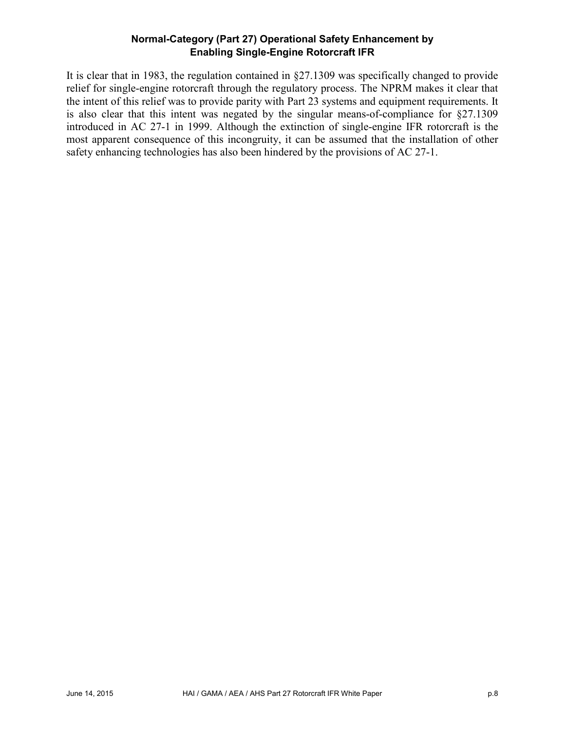It is clear that in 1983, the regulation contained in §27.1309 was specifically changed to provide relief for single-engine rotorcraft through the regulatory process. The NPRM makes it clear that the intent of this relief was to provide parity with Part 23 systems and equipment requirements. It is also clear that this intent was negated by the singular means-of-compliance for §27.1309 introduced in AC 27-1 in 1999. Although the extinction of single-engine IFR rotorcraft is the most apparent consequence of this incongruity, it can be assumed that the installation of other safety enhancing technologies has also been hindered by the provisions of AC 27-1.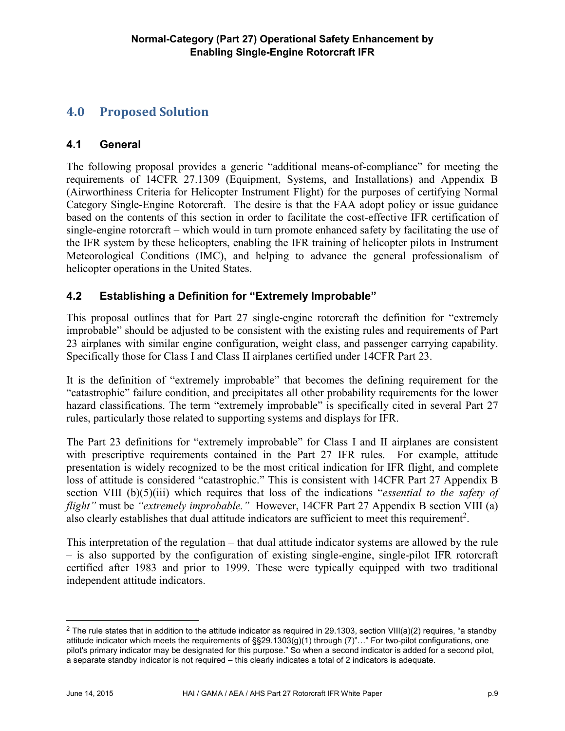# **4.0 Proposed Solution**

# **4.1 General**

The following proposal provides a generic "additional means-of-compliance" for meeting the requirements of 14CFR 27.1309 (Equipment, Systems, and Installations) and Appendix B (Airworthiness Criteria for Helicopter Instrument Flight) for the purposes of certifying Normal Category Single-Engine Rotorcraft. The desire is that the FAA adopt policy or issue guidance based on the contents of this section in order to facilitate the cost-effective IFR certification of single-engine rotorcraft – which would in turn promote enhanced safety by facilitating the use of the IFR system by these helicopters, enabling the IFR training of helicopter pilots in Instrument Meteorological Conditions (IMC), and helping to advance the general professionalism of helicopter operations in the United States.

# **4.2 Establishing a Definition for "Extremely Improbable"**

This proposal outlines that for Part 27 single-engine rotorcraft the definition for "extremely improbable" should be adjusted to be consistent with the existing rules and requirements of Part 23 airplanes with similar engine configuration, weight class, and passenger carrying capability. Specifically those for Class I and Class II airplanes certified under 14CFR Part 23.

It is the definition of "extremely improbable" that becomes the defining requirement for the "catastrophic" failure condition, and precipitates all other probability requirements for the lower hazard classifications. The term "extremely improbable" is specifically cited in several Part 27 rules, particularly those related to supporting systems and displays for IFR.

The Part 23 definitions for "extremely improbable" for Class I and II airplanes are consistent with prescriptive requirements contained in the Part 27 IFR rules. For example, attitude presentation is widely recognized to be the most critical indication for IFR flight, and complete loss of attitude is considered "catastrophic." This is consistent with 14CFR Part 27 Appendix B section VIII (b)(5)(iii) which requires that loss of the indications "*essential to the safety of flight"* must be *"extremely improbable."* However, 14CFR Part 27 Appendix B section VIII (a) also clearly establishes that dual attitude indicators are sufficient to meet this requirement<sup>2</sup>.

This interpretation of the regulation – that dual attitude indicator systems are allowed by the rule – is also supported by the configuration of existing single-engine, single-pilot IFR rotorcraft certified after 1983 and prior to 1999. These were typically equipped with two traditional independent attitude indicators.

<sup>&</sup>lt;sup>2</sup> The rule states that in addition to the attitude indicator as required in 29.1303, section VIII(a)(2) requires, "a standby attitude indicator which meets the requirements of §§29.1303(g)(1) through (7)"…" For two-pilot configurations, one pilot's primary indicator may be designated for this purpose." So when a second indicator is added for a second pilot, a separate standby indicator is not required – this clearly indicates a total of 2 indicators is adequate.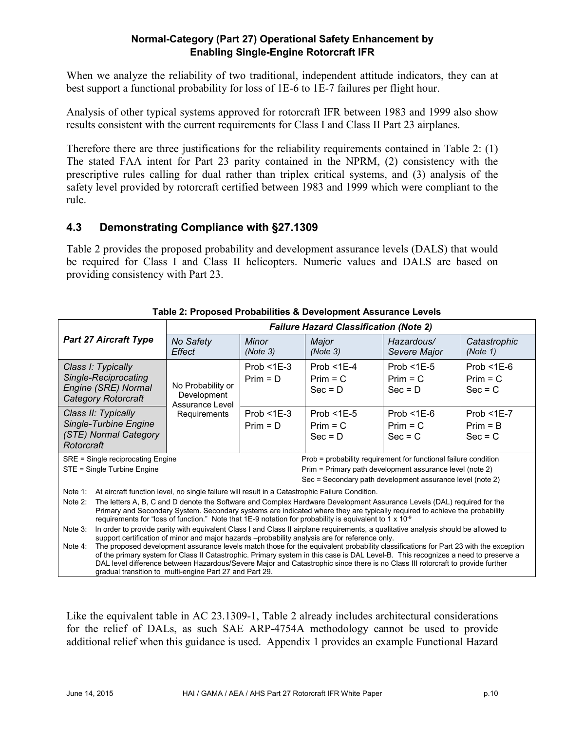When we analyze the reliability of two traditional, independent attitude indicators, they can at best support a functional probability for loss of 1E-6 to 1E-7 failures per flight hour.

Analysis of other typical systems approved for rotorcraft IFR between 1983 and 1999 also show results consistent with the current requirements for Class I and Class II Part 23 airplanes.

Therefore there are three justifications for the reliability requirements contained in Table 2: (1) The stated FAA intent for Part 23 parity contained in the NPRM, (2) consistency with the prescriptive rules calling for dual rather than triplex critical systems, and (3) analysis of the safety level provided by rotorcraft certified between 1983 and 1999 which were compliant to the rule.

# **4.3 Demonstrating Compliance with §27.1309**

Table 2 provides the proposed probability and development assurance levels (DALS) that would be required for Class I and Class II helicopters. Numeric values and DALS are based on providing consistency with Part 23.

| <b>Failure Hazard Classification (Note 2)</b>                                                                                       |  |  |  |  |  |
|-------------------------------------------------------------------------------------------------------------------------------------|--|--|--|--|--|
| Catastrophic                                                                                                                        |  |  |  |  |  |
| Prob $<$ 1E-6                                                                                                                       |  |  |  |  |  |
| $Prim = C$                                                                                                                          |  |  |  |  |  |
| $Sec = C$                                                                                                                           |  |  |  |  |  |
|                                                                                                                                     |  |  |  |  |  |
| Prob $<$ 1E-7                                                                                                                       |  |  |  |  |  |
| $Prim = B$                                                                                                                          |  |  |  |  |  |
| $Sec = C$                                                                                                                           |  |  |  |  |  |
|                                                                                                                                     |  |  |  |  |  |
| Prob = probability requirement for functional failure condition                                                                     |  |  |  |  |  |
|                                                                                                                                     |  |  |  |  |  |
| Sec = Secondary path development assurance level (note 2)                                                                           |  |  |  |  |  |
|                                                                                                                                     |  |  |  |  |  |
| The letters A, B, C and D denote the Software and Complex Hardware Development Assurance Levels (DAL) required for the              |  |  |  |  |  |
| Primary and Secondary System. Secondary systems are indicated where they are typically required to achieve the probability          |  |  |  |  |  |
| In order to provide parity with equivalent Class I and Class II airplane requirements, a qualitative analysis should be allowed to  |  |  |  |  |  |
|                                                                                                                                     |  |  |  |  |  |
| The proposed development assurance levels match those for the equivalent probability classifications for Part 23 with the exception |  |  |  |  |  |
| of the primary system for Class II Catastrophic. Primary system in this case is DAL Level-B. This recognizes a need to preserve a   |  |  |  |  |  |
| DAL level difference between Hazardous/Severe Major and Catastrophic since there is no Class III rotorcraft to provide further      |  |  |  |  |  |
| (Note 1)                                                                                                                            |  |  |  |  |  |

| Table 2: Proposed Probabilities & Development Assurance Levels |  |  |
|----------------------------------------------------------------|--|--|
|                                                                |  |  |

Like the equivalent table in AC 23.1309-1, Table 2 already includes architectural considerations for the relief of DALs, as such SAE ARP-4754A methodology cannot be used to provide additional relief when this guidance is used. Appendix 1 provides an example Functional Hazard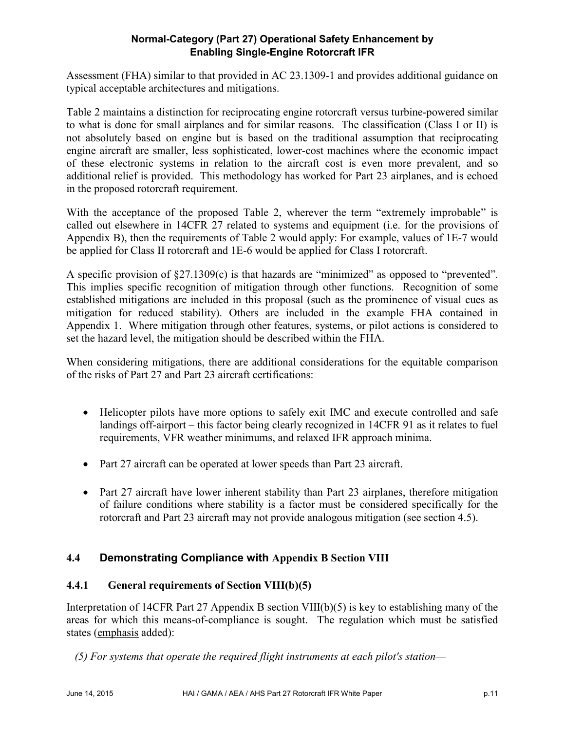Assessment (FHA) similar to that provided in AC 23.1309-1 and provides additional guidance on typical acceptable architectures and mitigations.

Table 2 maintains a distinction for reciprocating engine rotorcraft versus turbine-powered similar to what is done for small airplanes and for similar reasons. The classification (Class I or II) is not absolutely based on engine but is based on the traditional assumption that reciprocating engine aircraft are smaller, less sophisticated, lower-cost machines where the economic impact of these electronic systems in relation to the aircraft cost is even more prevalent, and so additional relief is provided. This methodology has worked for Part 23 airplanes, and is echoed in the proposed rotorcraft requirement.

With the acceptance of the proposed Table 2, wherever the term "extremely improbable" is called out elsewhere in 14CFR 27 related to systems and equipment (i.e. for the provisions of Appendix B), then the requirements of Table 2 would apply: For example, values of 1E-7 would be applied for Class II rotorcraft and 1E-6 would be applied for Class I rotorcraft.

A specific provision of §27.1309(c) is that hazards are "minimized" as opposed to "prevented". This implies specific recognition of mitigation through other functions. Recognition of some established mitigations are included in this proposal (such as the prominence of visual cues as mitigation for reduced stability). Others are included in the example FHA contained in Appendix 1. Where mitigation through other features, systems, or pilot actions is considered to set the hazard level, the mitigation should be described within the FHA.

When considering mitigations, there are additional considerations for the equitable comparison of the risks of Part 27 and Part 23 aircraft certifications:

- Helicopter pilots have more options to safely exit IMC and execute controlled and safe landings off-airport – this factor being clearly recognized in 14CFR 91 as it relates to fuel requirements, VFR weather minimums, and relaxed IFR approach minima.
- Part 27 aircraft can be operated at lower speeds than Part 23 aircraft.
- Part 27 aircraft have lower inherent stability than Part 23 airplanes, therefore mitigation of failure conditions where stability is a factor must be considered specifically for the rotorcraft and Part 23 aircraft may not provide analogous mitigation (see section 4.5).

# **4.4 Demonstrating Compliance with Appendix B Section VIII**

# **4.4.1 General requirements of Section VIII(b)(5)**

Interpretation of 14CFR Part 27 Appendix B section VIII(b)(5) is key to establishing many of the areas for which this means-of-compliance is sought. The regulation which must be satisfied states (emphasis added):

*(5) For systems that operate the required flight instruments at each pilot's station—*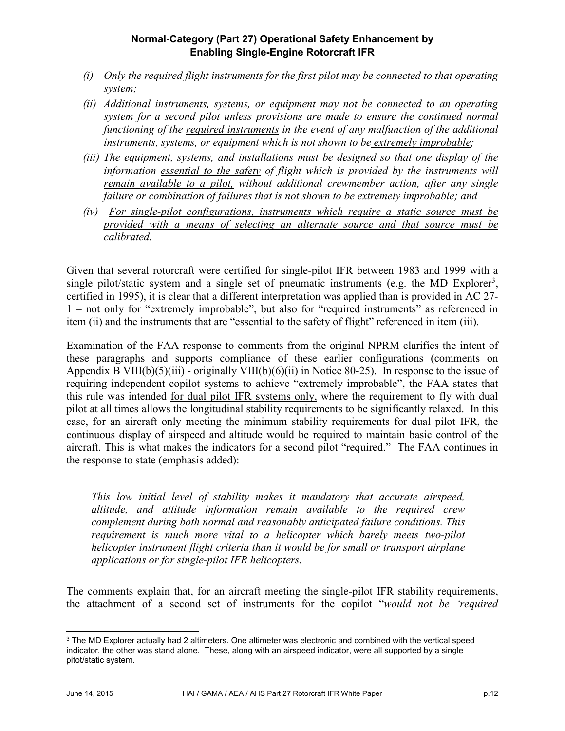- *(i) Only the required flight instruments for the first pilot may be connected to that operating system;*
- *(ii) Additional instruments, systems, or equipment may not be connected to an operating system for a second pilot unless provisions are made to ensure the continued normal functioning of the required instruments in the event of any malfunction of the additional instruments, systems, or equipment which is not shown to be extremely improbable;*
- *(iii) The equipment, systems, and installations must be designed so that one display of the information essential to the safety of flight which is provided by the instruments will remain available to a pilot, without additional crewmember action, after any single failure or combination of failures that is not shown to be extremely improbable; and*
- *(iv) For single-pilot configurations, instruments which require a static source must be provided with a means of selecting an alternate source and that source must be calibrated.*

Given that several rotorcraft were certified for single-pilot IFR between 1983 and 1999 with a single pilot/static system and a single set of pneumatic instruments (e.g. the MD Explorer<sup>3</sup>, certified in 1995), it is clear that a different interpretation was applied than is provided in AC 27- 1 – not only for "extremely improbable", but also for "required instruments" as referenced in item (ii) and the instruments that are "essential to the safety of flight" referenced in item (iii).

Examination of the FAA response to comments from the original NPRM clarifies the intent of these paragraphs and supports compliance of these earlier configurations (comments on Appendix B VIII(b)(5)(iii) - originally VIII(b)(6)(ii) in Notice 80-25). In response to the issue of requiring independent copilot systems to achieve "extremely improbable", the FAA states that this rule was intended for dual pilot IFR systems only, where the requirement to fly with dual pilot at all times allows the longitudinal stability requirements to be significantly relaxed. In this case, for an aircraft only meeting the minimum stability requirements for dual pilot IFR, the continuous display of airspeed and altitude would be required to maintain basic control of the aircraft. This is what makes the indicators for a second pilot "required." The FAA continues in the response to state (emphasis added):

*This low initial level of stability makes it mandatory that accurate airspeed, altitude, and attitude information remain available to the required crew complement during both normal and reasonably anticipated failure conditions. This requirement is much more vital to a helicopter which barely meets two-pilot helicopter instrument flight criteria than it would be for small or transport airplane applications or for single-pilot IFR helicopters.* 

The comments explain that, for an aircraft meeting the single-pilot IFR stability requirements, the attachment of a second set of instruments for the copilot "*would not be 'required* 

<sup>&</sup>lt;sup>3</sup> The MD Explorer actually had 2 altimeters. One altimeter was electronic and combined with the vertical speed indicator, the other was stand alone. These, along with an airspeed indicator, were all supported by a single pitot/static system.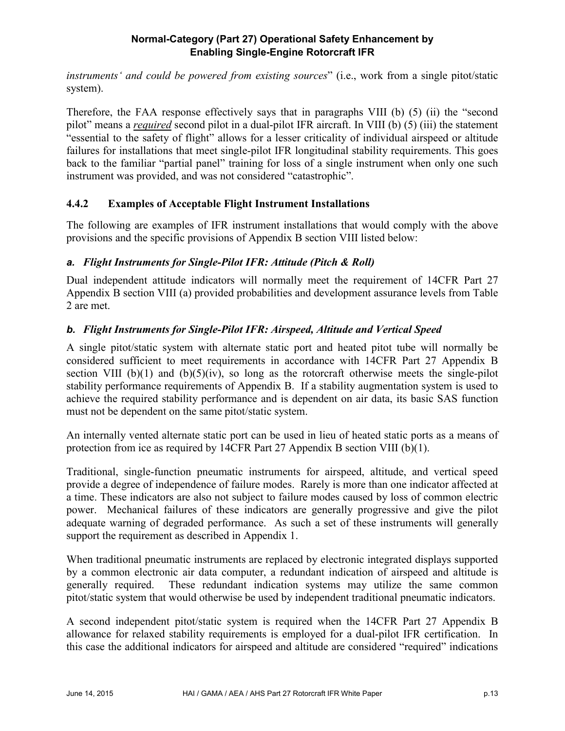*instruments' and could be powered from existing sources*" (i.e., work from a single pitot/static system).

Therefore, the FAA response effectively says that in paragraphs VIII (b) (5) (ii) the "second pilot" means a *required* second pilot in a dual-pilot IFR aircraft. In VIII (b) (5) (iii) the statement "essential to the safety of flight" allows for a lesser criticality of individual airspeed or altitude failures for installations that meet single-pilot IFR longitudinal stability requirements. This goes back to the familiar "partial panel" training for loss of a single instrument when only one such instrument was provided, and was not considered "catastrophic".

# **4.4.2 Examples of Acceptable Flight Instrument Installations**

The following are examples of IFR instrument installations that would comply with the above provisions and the specific provisions of Appendix B section VIII listed below:

#### *a. Flight Instruments for Single-Pilot IFR: Attitude (Pitch & Roll)*

Dual independent attitude indicators will normally meet the requirement of 14CFR Part 27 Appendix B section VIII (a) provided probabilities and development assurance levels from Table 2 are met.

#### *b. Flight Instruments for Single-Pilot IFR: Airspeed, Altitude and Vertical Speed*

A single pitot/static system with alternate static port and heated pitot tube will normally be considered sufficient to meet requirements in accordance with 14CFR Part 27 Appendix B section VIII (b)(1) and (b)(5)(iv), so long as the rotorcraft otherwise meets the single-pilot stability performance requirements of Appendix B. If a stability augmentation system is used to achieve the required stability performance and is dependent on air data, its basic SAS function must not be dependent on the same pitot/static system.

An internally vented alternate static port can be used in lieu of heated static ports as a means of protection from ice as required by 14CFR Part 27 Appendix B section VIII (b)(1).

Traditional, single-function pneumatic instruments for airspeed, altitude, and vertical speed provide a degree of independence of failure modes. Rarely is more than one indicator affected at a time. These indicators are also not subject to failure modes caused by loss of common electric power. Mechanical failures of these indicators are generally progressive and give the pilot adequate warning of degraded performance. As such a set of these instruments will generally support the requirement as described in Appendix 1.

When traditional pneumatic instruments are replaced by electronic integrated displays supported by a common electronic air data computer, a redundant indication of airspeed and altitude is generally required. These redundant indication systems may utilize the same common pitot/static system that would otherwise be used by independent traditional pneumatic indicators.

A second independent pitot/static system is required when the 14CFR Part 27 Appendix B allowance for relaxed stability requirements is employed for a dual-pilot IFR certification. In this case the additional indicators for airspeed and altitude are considered "required" indications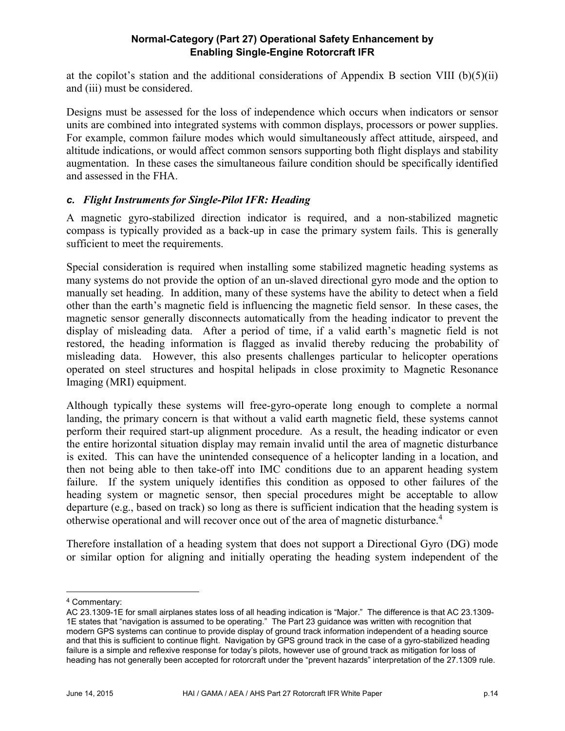at the copilot's station and the additional considerations of Appendix B section VIII (b)(5)(ii) and (iii) must be considered.

Designs must be assessed for the loss of independence which occurs when indicators or sensor units are combined into integrated systems with common displays, processors or power supplies. For example, common failure modes which would simultaneously affect attitude, airspeed, and altitude indications, or would affect common sensors supporting both flight displays and stability augmentation. In these cases the simultaneous failure condition should be specifically identified and assessed in the FHA.

#### *c. Flight Instruments for Single-Pilot IFR: Heading*

A magnetic gyro-stabilized direction indicator is required, and a non-stabilized magnetic compass is typically provided as a back-up in case the primary system fails. This is generally sufficient to meet the requirements.

Special consideration is required when installing some stabilized magnetic heading systems as many systems do not provide the option of an un-slaved directional gyro mode and the option to manually set heading. In addition, many of these systems have the ability to detect when a field other than the earth's magnetic field is influencing the magnetic field sensor. In these cases, the magnetic sensor generally disconnects automatically from the heading indicator to prevent the display of misleading data. After a period of time, if a valid earth's magnetic field is not restored, the heading information is flagged as invalid thereby reducing the probability of misleading data. However, this also presents challenges particular to helicopter operations operated on steel structures and hospital helipads in close proximity to Magnetic Resonance Imaging (MRI) equipment.

Although typically these systems will free-gyro-operate long enough to complete a normal landing, the primary concern is that without a valid earth magnetic field, these systems cannot perform their required start-up alignment procedure. As a result, the heading indicator or even the entire horizontal situation display may remain invalid until the area of magnetic disturbance is exited. This can have the unintended consequence of a helicopter landing in a location, and then not being able to then take-off into IMC conditions due to an apparent heading system failure. If the system uniquely identifies this condition as opposed to other failures of the heading system or magnetic sensor, then special procedures might be acceptable to allow departure (e.g., based on track) so long as there is sufficient indication that the heading system is otherwise operational and will recover once out of the area of magnetic disturbance.<sup>4</sup>

Therefore installation of a heading system that does not support a Directional Gyro (DG) mode or similar option for aligning and initially operating the heading system independent of the

 <sup>4</sup> Commentary:

AC 23.1309-1E for small airplanes states loss of all heading indication is "Major." The difference is that AC 23.1309- 1E states that "navigation is assumed to be operating." The Part 23 guidance was written with recognition that modern GPS systems can continue to provide display of ground track information independent of a heading source and that this is sufficient to continue flight. Navigation by GPS ground track in the case of a gyro-stabilized heading failure is a simple and reflexive response for today's pilots, however use of ground track as mitigation for loss of heading has not generally been accepted for rotorcraft under the "prevent hazards" interpretation of the 27.1309 rule.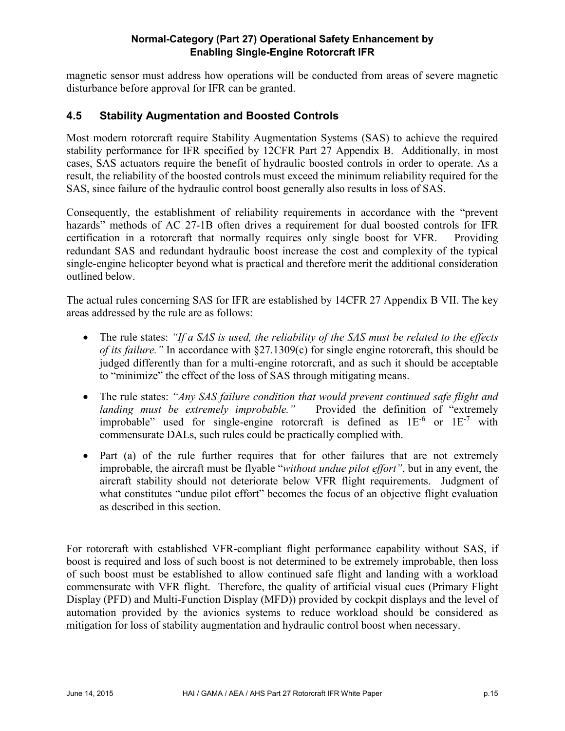magnetic sensor must address how operations will be conducted from areas of severe magnetic disturbance before approval for IFR can be granted.

### **4.5 Stability Augmentation and Boosted Controls**

Most modern rotorcraft require Stability Augmentation Systems (SAS) to achieve the required stability performance for IFR specified by 12CFR Part 27 Appendix B. Additionally, in most cases, SAS actuators require the benefit of hydraulic boosted controls in order to operate. As a result, the reliability of the boosted controls must exceed the minimum reliability required for the SAS, since failure of the hydraulic control boost generally also results in loss of SAS.

Consequently, the establishment of reliability requirements in accordance with the "prevent hazards" methods of AC 27-1B often drives a requirement for dual boosted controls for IFR certification in a rotorcraft that normally requires only single boost for VFR. Providing redundant SAS and redundant hydraulic boost increase the cost and complexity of the typical single-engine helicopter beyond what is practical and therefore merit the additional consideration outlined below.

The actual rules concerning SAS for IFR are established by 14CFR 27 Appendix B VII. The key areas addressed by the rule are as follows:

- The rule states: *"If a SAS is used, the reliability of the SAS must be related to the effects of its failure."* In accordance with §27.1309(c) for single engine rotorcraft, this should be judged differently than for a multi-engine rotorcraft, and as such it should be acceptable to "minimize" the effect of the loss of SAS through mitigating means.
- The rule states: *"Any SAS failure condition that would prevent continued safe flight and landing must be extremely improbable."* Provided the definition of "extremely *landing must be extremely improbable.*" improbable" used for single-engine rotorcraft is defined as  $1E^{-6}$  or  $1E^{-7}$  with commensurate DALs, such rules could be practically complied with.
- Part (a) of the rule further requires that for other failures that are not extremely improbable, the aircraft must be flyable "*without undue pilot effort"*, but in any event, the aircraft stability should not deteriorate below VFR flight requirements. Judgment of what constitutes "undue pilot effort" becomes the focus of an objective flight evaluation as described in this section.

For rotorcraft with established VFR-compliant flight performance capability without SAS, if boost is required and loss of such boost is not determined to be extremely improbable, then loss of such boost must be established to allow continued safe flight and landing with a workload commensurate with VFR flight. Therefore, the quality of artificial visual cues (Primary Flight Display (PFD) and Multi-Function Display (MFD)) provided by cockpit displays and the level of automation provided by the avionics systems to reduce workload should be considered as mitigation for loss of stability augmentation and hydraulic control boost when necessary.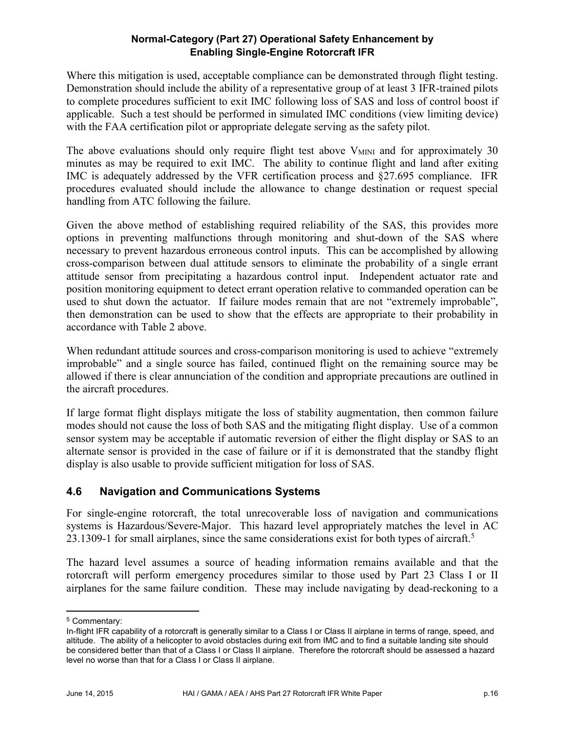Where this mitigation is used, acceptable compliance can be demonstrated through flight testing. Demonstration should include the ability of a representative group of at least 3 IFR-trained pilots to complete procedures sufficient to exit IMC following loss of SAS and loss of control boost if applicable. Such a test should be performed in simulated IMC conditions (view limiting device) with the FAA certification pilot or appropriate delegate serving as the safety pilot.

The above evaluations should only require flight test above  $V_{MINI}$  and for approximately 30 minutes as may be required to exit IMC. The ability to continue flight and land after exiting IMC is adequately addressed by the VFR certification process and §27.695 compliance. IFR procedures evaluated should include the allowance to change destination or request special handling from ATC following the failure.

Given the above method of establishing required reliability of the SAS, this provides more options in preventing malfunctions through monitoring and shut-down of the SAS where necessary to prevent hazardous erroneous control inputs. This can be accomplished by allowing cross-comparison between dual attitude sensors to eliminate the probability of a single errant attitude sensor from precipitating a hazardous control input. Independent actuator rate and position monitoring equipment to detect errant operation relative to commanded operation can be used to shut down the actuator. If failure modes remain that are not "extremely improbable", then demonstration can be used to show that the effects are appropriate to their probability in accordance with Table 2 above.

When redundant attitude sources and cross-comparison monitoring is used to achieve "extremely improbable" and a single source has failed, continued flight on the remaining source may be allowed if there is clear annunciation of the condition and appropriate precautions are outlined in the aircraft procedures.

If large format flight displays mitigate the loss of stability augmentation, then common failure modes should not cause the loss of both SAS and the mitigating flight display. Use of a common sensor system may be acceptable if automatic reversion of either the flight display or SAS to an alternate sensor is provided in the case of failure or if it is demonstrated that the standby flight display is also usable to provide sufficient mitigation for loss of SAS.

# **4.6 Navigation and Communications Systems**

For single-engine rotorcraft, the total unrecoverable loss of navigation and communications systems is Hazardous/Severe-Major. This hazard level appropriately matches the level in AC 23.1309-1 for small airplanes, since the same considerations exist for both types of aircraft.<sup>5</sup>

The hazard level assumes a source of heading information remains available and that the rotorcraft will perform emergency procedures similar to those used by Part 23 Class I or II airplanes for the same failure condition. These may include navigating by dead-reckoning to a

 <sup>5</sup> Commentary:

In-flight IFR capability of a rotorcraft is generally similar to a Class I or Class II airplane in terms of range, speed, and altitude. The ability of a helicopter to avoid obstacles during exit from IMC and to find a suitable landing site should be considered better than that of a Class I or Class II airplane. Therefore the rotorcraft should be assessed a hazard level no worse than that for a Class I or Class II airplane.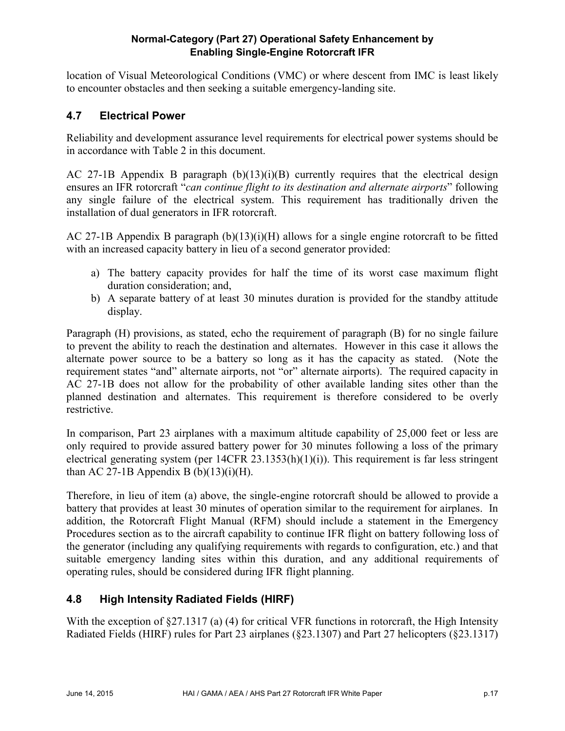location of Visual Meteorological Conditions (VMC) or where descent from IMC is least likely to encounter obstacles and then seeking a suitable emergency-landing site.

# **4.7 Electrical Power**

Reliability and development assurance level requirements for electrical power systems should be in accordance with Table 2 in this document.

AC 27-1B Appendix B paragraph  $(b)(13)(i)(B)$  currently requires that the electrical design ensures an IFR rotorcraft "*can continue flight to its destination and alternate airports*" following any single failure of the electrical system. This requirement has traditionally driven the installation of dual generators in IFR rotorcraft.

AC 27-1B Appendix B paragraph  $(b)(13)(i)(H)$  allows for a single engine rotorcraft to be fitted with an increased capacity battery in lieu of a second generator provided:

- a) The battery capacity provides for half the time of its worst case maximum flight duration consideration; and,
- b) A separate battery of at least 30 minutes duration is provided for the standby attitude display.

Paragraph (H) provisions, as stated, echo the requirement of paragraph (B) for no single failure to prevent the ability to reach the destination and alternates. However in this case it allows the alternate power source to be a battery so long as it has the capacity as stated. (Note the requirement states "and" alternate airports, not "or" alternate airports). The required capacity in AC 27-1B does not allow for the probability of other available landing sites other than the planned destination and alternates. This requirement is therefore considered to be overly restrictive.

In comparison, Part 23 airplanes with a maximum altitude capability of 25,000 feet or less are only required to provide assured battery power for 30 minutes following a loss of the primary electrical generating system (per 14CFR 23.1353(h)(1)(i)). This requirement is far less stringent than AC 27-1B Appendix B  $(b)(13)(i)(H)$ .

Therefore, in lieu of item (a) above, the single-engine rotorcraft should be allowed to provide a battery that provides at least 30 minutes of operation similar to the requirement for airplanes. In addition, the Rotorcraft Flight Manual (RFM) should include a statement in the Emergency Procedures section as to the aircraft capability to continue IFR flight on battery following loss of the generator (including any qualifying requirements with regards to configuration, etc.) and that suitable emergency landing sites within this duration, and any additional requirements of operating rules, should be considered during IFR flight planning.

# **4.8 High Intensity Radiated Fields (HIRF)**

With the exception of §27.1317 (a) (4) for critical VFR functions in rotorcraft, the High Intensity Radiated Fields (HIRF) rules for Part 23 airplanes (§23.1307) and Part 27 helicopters (§23.1317)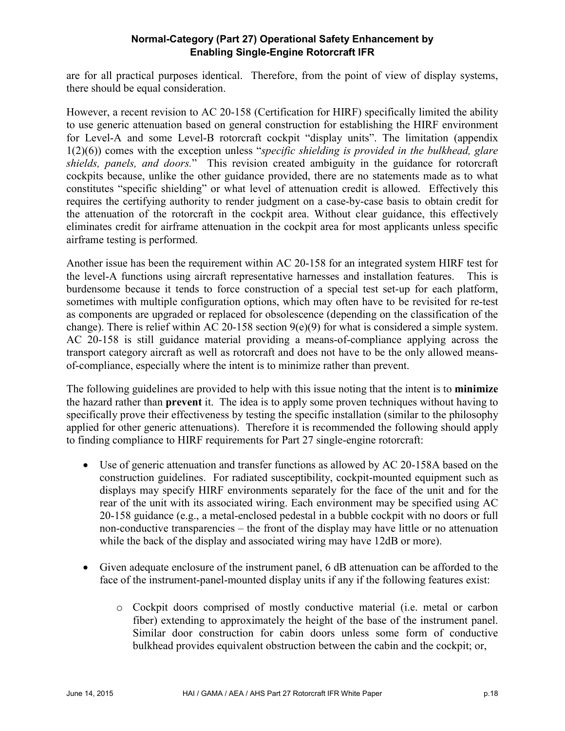are for all practical purposes identical. Therefore, from the point of view of display systems, there should be equal consideration.

However, a recent revision to AC 20-158 (Certification for HIRF) specifically limited the ability to use generic attenuation based on general construction for establishing the HIRF environment for Level-A and some Level-B rotorcraft cockpit "display units". The limitation (appendix 1(2)(6)) comes with the exception unless "*specific shielding is provided in the bulkhead, glare shields, panels, and doors.*" This revision created ambiguity in the guidance for rotorcraft cockpits because, unlike the other guidance provided, there are no statements made as to what constitutes "specific shielding" or what level of attenuation credit is allowed. Effectively this requires the certifying authority to render judgment on a case-by-case basis to obtain credit for the attenuation of the rotorcraft in the cockpit area. Without clear guidance, this effectively eliminates credit for airframe attenuation in the cockpit area for most applicants unless specific airframe testing is performed.

Another issue has been the requirement within AC 20-158 for an integrated system HIRF test for the level-A functions using aircraft representative harnesses and installation features. This is burdensome because it tends to force construction of a special test set-up for each platform, sometimes with multiple configuration options, which may often have to be revisited for re-test as components are upgraded or replaced for obsolescence (depending on the classification of the change). There is relief within AC 20-158 section 9(e)(9) for what is considered a simple system. AC 20-158 is still guidance material providing a means-of-compliance applying across the transport category aircraft as well as rotorcraft and does not have to be the only allowed meansof-compliance, especially where the intent is to minimize rather than prevent.

The following guidelines are provided to help with this issue noting that the intent is to **minimize** the hazard rather than **prevent** it. The idea is to apply some proven techniques without having to specifically prove their effectiveness by testing the specific installation (similar to the philosophy applied for other generic attenuations). Therefore it is recommended the following should apply to finding compliance to HIRF requirements for Part 27 single-engine rotorcraft:

- Use of generic attenuation and transfer functions as allowed by AC 20-158A based on the construction guidelines. For radiated susceptibility, cockpit-mounted equipment such as displays may specify HIRF environments separately for the face of the unit and for the rear of the unit with its associated wiring. Each environment may be specified using AC 20-158 guidance (e.g., a metal-enclosed pedestal in a bubble cockpit with no doors or full non-conductive transparencies – the front of the display may have little or no attenuation while the back of the display and associated wiring may have 12dB or more).
- Given adequate enclosure of the instrument panel, 6 dB attenuation can be afforded to the face of the instrument-panel-mounted display units if any if the following features exist:
	- o Cockpit doors comprised of mostly conductive material (i.e. metal or carbon fiber) extending to approximately the height of the base of the instrument panel. Similar door construction for cabin doors unless some form of conductive bulkhead provides equivalent obstruction between the cabin and the cockpit; or,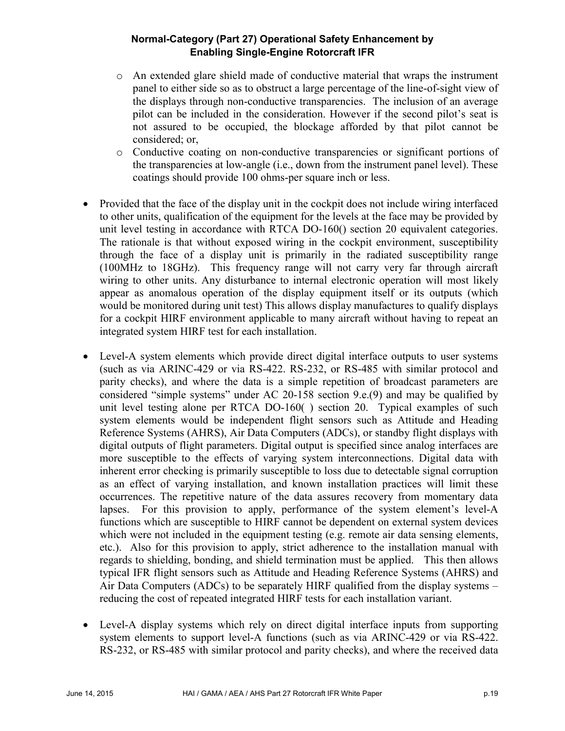- o An extended glare shield made of conductive material that wraps the instrument panel to either side so as to obstruct a large percentage of the line-of-sight view of the displays through non-conductive transparencies. The inclusion of an average pilot can be included in the consideration. However if the second pilot's seat is not assured to be occupied, the blockage afforded by that pilot cannot be considered; or,
- o Conductive coating on non-conductive transparencies or significant portions of the transparencies at low-angle (i.e., down from the instrument panel level). These coatings should provide 100 ohms-per square inch or less.
- Provided that the face of the display unit in the cockpit does not include wiring interfaced to other units, qualification of the equipment for the levels at the face may be provided by unit level testing in accordance with RTCA DO-160() section 20 equivalent categories. The rationale is that without exposed wiring in the cockpit environment, susceptibility through the face of a display unit is primarily in the radiated susceptibility range (100MHz to 18GHz). This frequency range will not carry very far through aircraft wiring to other units. Any disturbance to internal electronic operation will most likely appear as anomalous operation of the display equipment itself or its outputs (which would be monitored during unit test) This allows display manufactures to qualify displays for a cockpit HIRF environment applicable to many aircraft without having to repeat an integrated system HIRF test for each installation.
- Level-A system elements which provide direct digital interface outputs to user systems (such as via ARINC-429 or via RS-422. RS-232, or RS-485 with similar protocol and parity checks), and where the data is a simple repetition of broadcast parameters are considered "simple systems" under AC 20-158 section 9.e.(9) and may be qualified by unit level testing alone per RTCA DO-160( ) section 20. Typical examples of such system elements would be independent flight sensors such as Attitude and Heading Reference Systems (AHRS), Air Data Computers (ADCs), or standby flight displays with digital outputs of flight parameters. Digital output is specified since analog interfaces are more susceptible to the effects of varying system interconnections. Digital data with inherent error checking is primarily susceptible to loss due to detectable signal corruption as an effect of varying installation, and known installation practices will limit these occurrences. The repetitive nature of the data assures recovery from momentary data lapses. For this provision to apply, performance of the system element's level-A functions which are susceptible to HIRF cannot be dependent on external system devices which were not included in the equipment testing (e.g. remote air data sensing elements, etc.). Also for this provision to apply, strict adherence to the installation manual with regards to shielding, bonding, and shield termination must be applied. This then allows typical IFR flight sensors such as Attitude and Heading Reference Systems (AHRS) and Air Data Computers (ADCs) to be separately HIRF qualified from the display systems – reducing the cost of repeated integrated HIRF tests for each installation variant.
- Level-A display systems which rely on direct digital interface inputs from supporting system elements to support level-A functions (such as via ARINC-429 or via RS-422. RS-232, or RS-485 with similar protocol and parity checks), and where the received data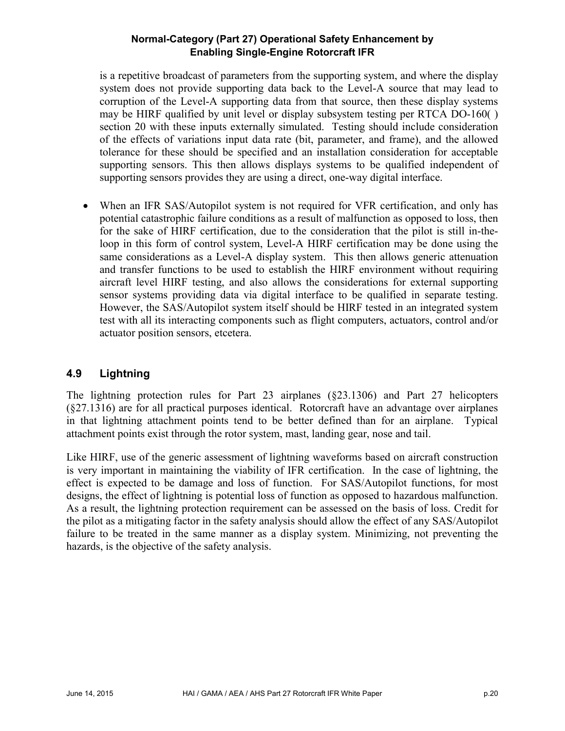is a repetitive broadcast of parameters from the supporting system, and where the display system does not provide supporting data back to the Level-A source that may lead to corruption of the Level-A supporting data from that source, then these display systems may be HIRF qualified by unit level or display subsystem testing per RTCA DO-160( ) section 20 with these inputs externally simulated. Testing should include consideration of the effects of variations input data rate (bit, parameter, and frame), and the allowed tolerance for these should be specified and an installation consideration for acceptable supporting sensors. This then allows displays systems to be qualified independent of supporting sensors provides they are using a direct, one-way digital interface.

 When an IFR SAS/Autopilot system is not required for VFR certification, and only has potential catastrophic failure conditions as a result of malfunction as opposed to loss, then for the sake of HIRF certification, due to the consideration that the pilot is still in-theloop in this form of control system, Level-A HIRF certification may be done using the same considerations as a Level-A display system. This then allows generic attenuation and transfer functions to be used to establish the HIRF environment without requiring aircraft level HIRF testing, and also allows the considerations for external supporting sensor systems providing data via digital interface to be qualified in separate testing. However, the SAS/Autopilot system itself should be HIRF tested in an integrated system test with all its interacting components such as flight computers, actuators, control and/or actuator position sensors, etcetera.

# **4.9 Lightning**

The lightning protection rules for Part 23 airplanes (§23.1306) and Part 27 helicopters (§27.1316) are for all practical purposes identical. Rotorcraft have an advantage over airplanes in that lightning attachment points tend to be better defined than for an airplane. Typical attachment points exist through the rotor system, mast, landing gear, nose and tail.

Like HIRF, use of the generic assessment of lightning waveforms based on aircraft construction is very important in maintaining the viability of IFR certification. In the case of lightning, the effect is expected to be damage and loss of function. For SAS/Autopilot functions, for most designs, the effect of lightning is potential loss of function as opposed to hazardous malfunction. As a result, the lightning protection requirement can be assessed on the basis of loss. Credit for the pilot as a mitigating factor in the safety analysis should allow the effect of any SAS/Autopilot failure to be treated in the same manner as a display system. Minimizing, not preventing the hazards, is the objective of the safety analysis.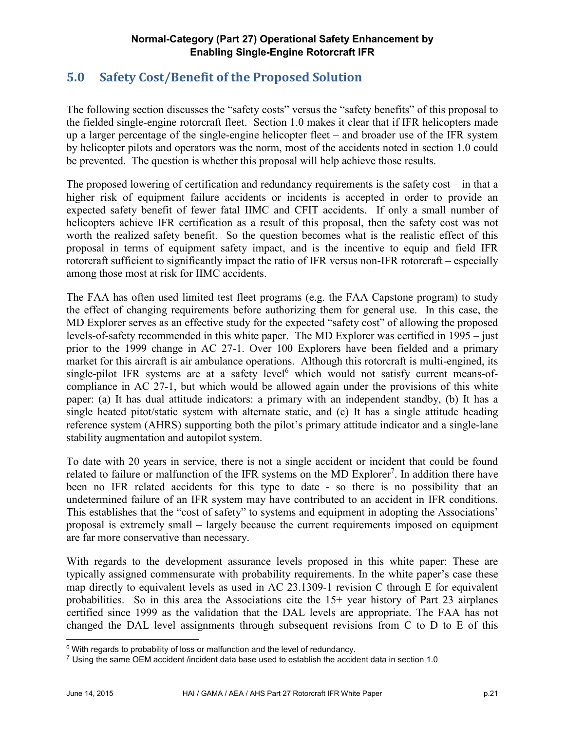# **5.0 Safety Cost/Benefit of the Proposed Solution**

The following section discusses the "safety costs" versus the "safety benefits" of this proposal to the fielded single-engine rotorcraft fleet. Section 1.0 makes it clear that if IFR helicopters made up a larger percentage of the single-engine helicopter fleet – and broader use of the IFR system by helicopter pilots and operators was the norm, most of the accidents noted in section 1.0 could be prevented. The question is whether this proposal will help achieve those results.

The proposed lowering of certification and redundancy requirements is the safety cost – in that a higher risk of equipment failure accidents or incidents is accepted in order to provide an expected safety benefit of fewer fatal IIMC and CFIT accidents. If only a small number of helicopters achieve IFR certification as a result of this proposal, then the safety cost was not worth the realized safety benefit. So the question becomes what is the realistic effect of this proposal in terms of equipment safety impact, and is the incentive to equip and field IFR rotorcraft sufficient to significantly impact the ratio of IFR versus non-IFR rotorcraft – especially among those most at risk for IIMC accidents.

The FAA has often used limited test fleet programs (e.g. the FAA Capstone program) to study the effect of changing requirements before authorizing them for general use. In this case, the MD Explorer serves as an effective study for the expected "safety cost" of allowing the proposed levels-of-safety recommended in this white paper. The MD Explorer was certified in 1995 – just prior to the 1999 change in AC 27-1. Over 100 Explorers have been fielded and a primary market for this aircraft is air ambulance operations. Although this rotorcraft is multi-engined, its single-pilot IFR systems are at a safety level<sup>6</sup> which would not satisfy current means-ofcompliance in AC 27-1, but which would be allowed again under the provisions of this white paper: (a) It has dual attitude indicators: a primary with an independent standby, (b) It has a single heated pitot/static system with alternate static, and (c) It has a single attitude heading reference system (AHRS) supporting both the pilot's primary attitude indicator and a single-lane stability augmentation and autopilot system.

To date with 20 years in service, there is not a single accident or incident that could be found related to failure or malfunction of the IFR systems on the MD Explorer<sup>7</sup>. In addition there have been no IFR related accidents for this type to date - so there is no possibility that an undetermined failure of an IFR system may have contributed to an accident in IFR conditions. This establishes that the "cost of safety" to systems and equipment in adopting the Associations' proposal is extremely small – largely because the current requirements imposed on equipment are far more conservative than necessary.

With regards to the development assurance levels proposed in this white paper: These are typically assigned commensurate with probability requirements. In the white paper's case these map directly to equivalent levels as used in AC 23.1309-1 revision C through E for equivalent probabilities. So in this area the Associations cite the 15+ year history of Part 23 airplanes certified since 1999 as the validation that the DAL levels are appropriate. The FAA has not changed the DAL level assignments through subsequent revisions from C to D to E of this

<sup>&</sup>lt;sup>6</sup> With regards to probability of loss or malfunction and the level of redundancy.

 $7$  Using the same OEM accident /incident data base used to establish the accident data in section 1.0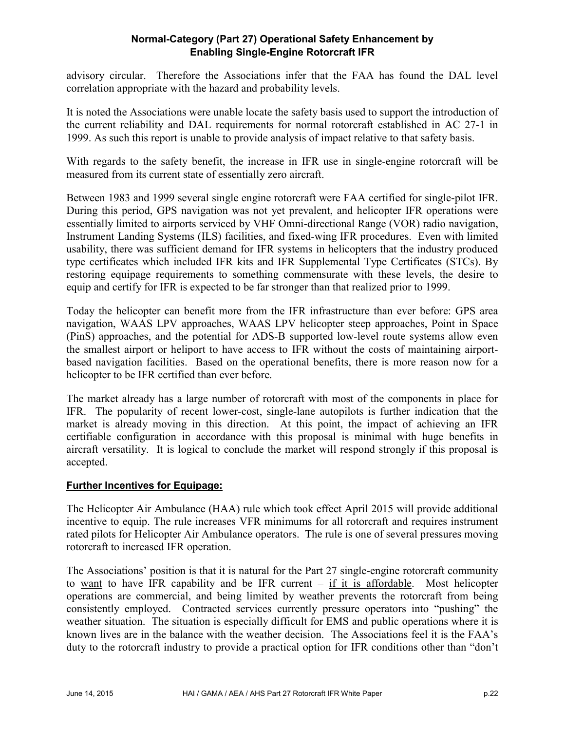advisory circular. Therefore the Associations infer that the FAA has found the DAL level correlation appropriate with the hazard and probability levels.

It is noted the Associations were unable locate the safety basis used to support the introduction of the current reliability and DAL requirements for normal rotorcraft established in AC 27-1 in 1999. As such this report is unable to provide analysis of impact relative to that safety basis.

With regards to the safety benefit, the increase in IFR use in single-engine rotorcraft will be measured from its current state of essentially zero aircraft.

Between 1983 and 1999 several single engine rotorcraft were FAA certified for single-pilot IFR. During this period, GPS navigation was not yet prevalent, and helicopter IFR operations were essentially limited to airports serviced by VHF Omni-directional Range (VOR) radio navigation, Instrument Landing Systems (ILS) facilities, and fixed-wing IFR procedures. Even with limited usability, there was sufficient demand for IFR systems in helicopters that the industry produced type certificates which included IFR kits and IFR Supplemental Type Certificates (STCs). By restoring equipage requirements to something commensurate with these levels, the desire to equip and certify for IFR is expected to be far stronger than that realized prior to 1999.

Today the helicopter can benefit more from the IFR infrastructure than ever before: GPS area navigation, WAAS LPV approaches, WAAS LPV helicopter steep approaches, Point in Space (PinS) approaches, and the potential for ADS-B supported low-level route systems allow even the smallest airport or heliport to have access to IFR without the costs of maintaining airportbased navigation facilities. Based on the operational benefits, there is more reason now for a helicopter to be IFR certified than ever before.

The market already has a large number of rotorcraft with most of the components in place for IFR. The popularity of recent lower-cost, single-lane autopilots is further indication that the market is already moving in this direction. At this point, the impact of achieving an IFR certifiable configuration in accordance with this proposal is minimal with huge benefits in aircraft versatility. It is logical to conclude the market will respond strongly if this proposal is accepted.

#### **Further Incentives for Equipage:**

The Helicopter Air Ambulance (HAA) rule which took effect April 2015 will provide additional incentive to equip. The rule increases VFR minimums for all rotorcraft and requires instrument rated pilots for Helicopter Air Ambulance operators. The rule is one of several pressures moving rotorcraft to increased IFR operation.

The Associations' position is that it is natural for the Part 27 single-engine rotorcraft community to want to have IFR capability and be IFR current – if it is affordable. Most helicopter operations are commercial, and being limited by weather prevents the rotorcraft from being consistently employed. Contracted services currently pressure operators into "pushing" the weather situation. The situation is especially difficult for EMS and public operations where it is known lives are in the balance with the weather decision. The Associations feel it is the FAA's duty to the rotorcraft industry to provide a practical option for IFR conditions other than "don't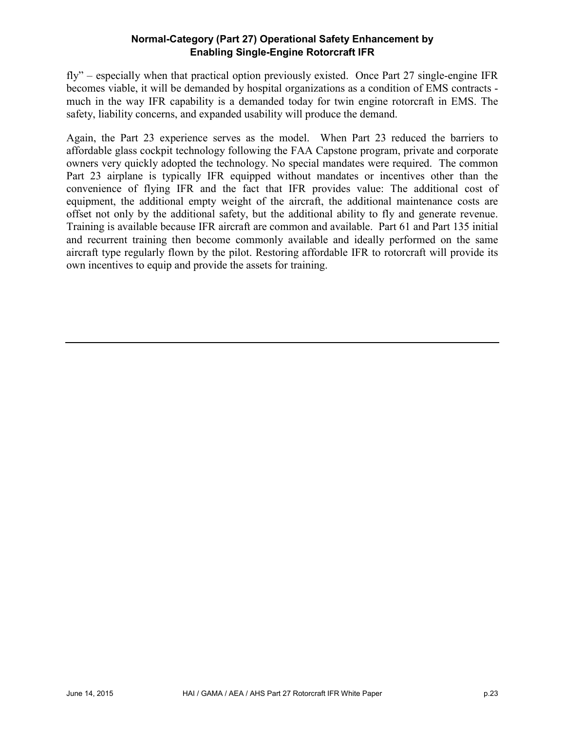fly" – especially when that practical option previously existed. Once Part 27 single-engine IFR becomes viable, it will be demanded by hospital organizations as a condition of EMS contracts much in the way IFR capability is a demanded today for twin engine rotorcraft in EMS. The safety, liability concerns, and expanded usability will produce the demand.

Again, the Part 23 experience serves as the model. When Part 23 reduced the barriers to affordable glass cockpit technology following the FAA Capstone program, private and corporate owners very quickly adopted the technology. No special mandates were required. The common Part 23 airplane is typically IFR equipped without mandates or incentives other than the convenience of flying IFR and the fact that IFR provides value: The additional cost of equipment, the additional empty weight of the aircraft, the additional maintenance costs are offset not only by the additional safety, but the additional ability to fly and generate revenue. Training is available because IFR aircraft are common and available. Part 61 and Part 135 initial and recurrent training then become commonly available and ideally performed on the same aircraft type regularly flown by the pilot. Restoring affordable IFR to rotorcraft will provide its own incentives to equip and provide the assets for training.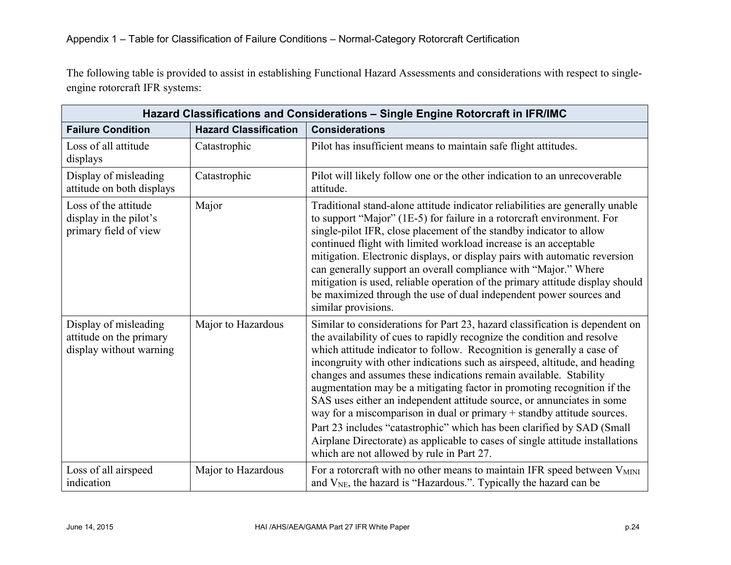The following table is provided to assist in establishing Functional Hazard Assessments and considerations with respect to singleengine rotorcraft IFR systems:

| Hazard Classifications and Considerations - Single Engine Rotorcraft in IFR/IMC |                              |                                                                                                                                                                                                                                                                                                                                                                                                                                                                                                                                                                                                                                                                                                                                                                                                                             |  |
|---------------------------------------------------------------------------------|------------------------------|-----------------------------------------------------------------------------------------------------------------------------------------------------------------------------------------------------------------------------------------------------------------------------------------------------------------------------------------------------------------------------------------------------------------------------------------------------------------------------------------------------------------------------------------------------------------------------------------------------------------------------------------------------------------------------------------------------------------------------------------------------------------------------------------------------------------------------|--|
| <b>Failure Condition</b>                                                        | <b>Hazard Classification</b> | <b>Considerations</b>                                                                                                                                                                                                                                                                                                                                                                                                                                                                                                                                                                                                                                                                                                                                                                                                       |  |
| Loss of all attitude<br>displays                                                | Catastrophic                 | Pilot has insufficient means to maintain safe flight attitudes.                                                                                                                                                                                                                                                                                                                                                                                                                                                                                                                                                                                                                                                                                                                                                             |  |
| Display of misleading<br>attitude on both displays                              | Catastrophic                 | Pilot will likely follow one or the other indication to an unrecoverable<br>attitude.                                                                                                                                                                                                                                                                                                                                                                                                                                                                                                                                                                                                                                                                                                                                       |  |
| Loss of the attitude<br>display in the pilot's<br>primary field of view         | Major                        | Traditional stand-alone attitude indicator reliabilities are generally unable<br>to support "Major" (1E-5) for failure in a rotorcraft environment. For<br>single-pilot IFR, close placement of the standby indicator to allow<br>continued flight with limited workload increase is an acceptable<br>mitigation. Electronic displays, or display pairs with automatic reversion<br>can generally support an overall compliance with "Major." Where<br>mitigation is used, reliable operation of the primary attitude display should<br>be maximized through the use of dual independent power sources and<br>similar provisions.                                                                                                                                                                                           |  |
| Display of misleading<br>attitude on the primary<br>display without warning     | Major to Hazardous           | Similar to considerations for Part 23, hazard classification is dependent on<br>the availability of cues to rapidly recognize the condition and resolve<br>which attitude indicator to follow. Recognition is generally a case of<br>incongruity with other indications such as airspeed, altitude, and heading<br>changes and assumes these indications remain available. Stability<br>augmentation may be a mitigating factor in promoting recognition if the<br>SAS uses either an independent attitude source, or annunciates in some<br>way for a miscomparison in dual or primary + standby attitude sources.<br>Part 23 includes "catastrophic" which has been clarified by SAD (Small<br>Airplane Directorate) as applicable to cases of single attitude installations<br>which are not allowed by rule in Part 27. |  |
| Loss of all airspeed<br>indication                                              | Major to Hazardous           | For a rotorcraft with no other means to maintain IFR speed between V <sub>MINI</sub><br>and $V_{NE}$ , the hazard is "Hazardous.". Typically the hazard can be                                                                                                                                                                                                                                                                                                                                                                                                                                                                                                                                                                                                                                                              |  |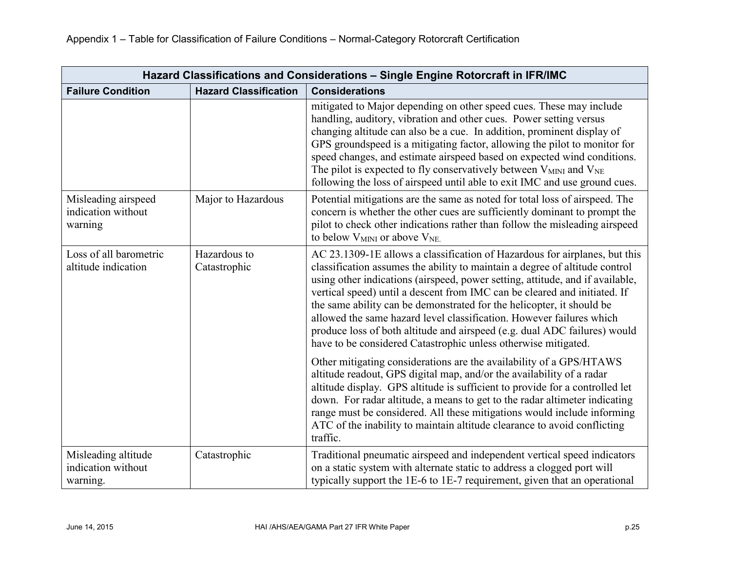| Hazard Classifications and Considerations - Single Engine Rotorcraft in IFR/IMC |                              |                                                                                                                                                                                                                                                                                                                                                                                                                                                                                                                                                                                                                                                                                                                                                                                                                                                                                                                                                                                                                                                                                              |  |
|---------------------------------------------------------------------------------|------------------------------|----------------------------------------------------------------------------------------------------------------------------------------------------------------------------------------------------------------------------------------------------------------------------------------------------------------------------------------------------------------------------------------------------------------------------------------------------------------------------------------------------------------------------------------------------------------------------------------------------------------------------------------------------------------------------------------------------------------------------------------------------------------------------------------------------------------------------------------------------------------------------------------------------------------------------------------------------------------------------------------------------------------------------------------------------------------------------------------------|--|
| <b>Failure Condition</b>                                                        | <b>Hazard Classification</b> | <b>Considerations</b>                                                                                                                                                                                                                                                                                                                                                                                                                                                                                                                                                                                                                                                                                                                                                                                                                                                                                                                                                                                                                                                                        |  |
|                                                                                 |                              | mitigated to Major depending on other speed cues. These may include<br>handling, auditory, vibration and other cues. Power setting versus<br>changing altitude can also be a cue. In addition, prominent display of<br>GPS groundspeed is a mitigating factor, allowing the pilot to monitor for<br>speed changes, and estimate airspeed based on expected wind conditions.<br>The pilot is expected to fly conservatively between $V_{MINI}$ and $V_{NE}$<br>following the loss of airspeed until able to exit IMC and use ground cues.                                                                                                                                                                                                                                                                                                                                                                                                                                                                                                                                                     |  |
| Misleading airspeed<br>indication without<br>warning                            | Major to Hazardous           | Potential mitigations are the same as noted for total loss of airspeed. The<br>concern is whether the other cues are sufficiently dominant to prompt the<br>pilot to check other indications rather than follow the misleading airspeed<br>to below V <sub>MINI</sub> or above V <sub>NE</sub>                                                                                                                                                                                                                                                                                                                                                                                                                                                                                                                                                                                                                                                                                                                                                                                               |  |
| Loss of all barometric<br>altitude indication                                   | Hazardous to<br>Catastrophic | AC 23.1309-1E allows a classification of Hazardous for airplanes, but this<br>classification assumes the ability to maintain a degree of altitude control<br>using other indications (airspeed, power setting, attitude, and if available,<br>vertical speed) until a descent from IMC can be cleared and initiated. If<br>the same ability can be demonstrated for the helicopter, it should be<br>allowed the same hazard level classification. However failures which<br>produce loss of both altitude and airspeed (e.g. dual ADC failures) would<br>have to be considered Catastrophic unless otherwise mitigated.<br>Other mitigating considerations are the availability of a GPS/HTAWS<br>altitude readout, GPS digital map, and/or the availability of a radar<br>altitude display. GPS altitude is sufficient to provide for a controlled let<br>down. For radar altitude, a means to get to the radar altimeter indicating<br>range must be considered. All these mitigations would include informing<br>ATC of the inability to maintain altitude clearance to avoid conflicting |  |
| Misleading altitude<br>indication without<br>warning.                           | Catastrophic                 | traffic.<br>Traditional pneumatic airspeed and independent vertical speed indicators<br>on a static system with alternate static to address a clogged port will<br>typically support the 1E-6 to 1E-7 requirement, given that an operational                                                                                                                                                                                                                                                                                                                                                                                                                                                                                                                                                                                                                                                                                                                                                                                                                                                 |  |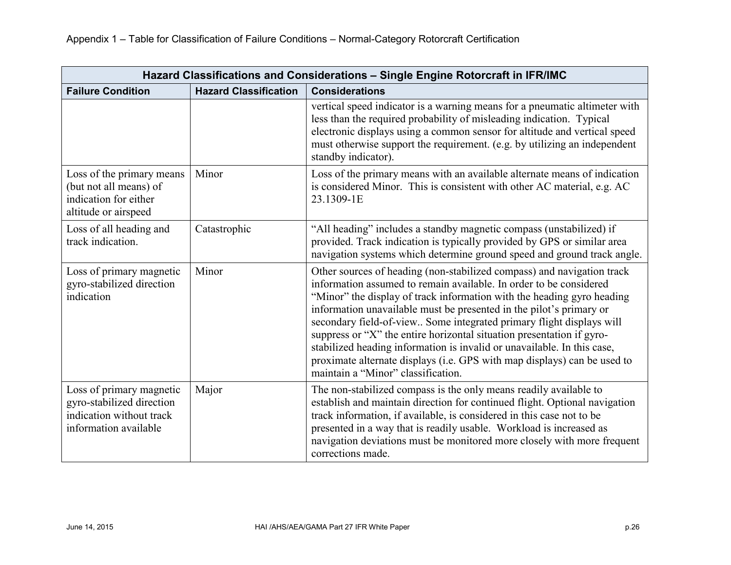| Hazard Classifications and Considerations - Single Engine Rotorcraft in IFR/IMC                            |                              |                                                                                                                                                                                                                                                                                                                                                                                                                                                                                                                                                                                                                                             |  |
|------------------------------------------------------------------------------------------------------------|------------------------------|---------------------------------------------------------------------------------------------------------------------------------------------------------------------------------------------------------------------------------------------------------------------------------------------------------------------------------------------------------------------------------------------------------------------------------------------------------------------------------------------------------------------------------------------------------------------------------------------------------------------------------------------|--|
| <b>Failure Condition</b>                                                                                   | <b>Hazard Classification</b> | <b>Considerations</b>                                                                                                                                                                                                                                                                                                                                                                                                                                                                                                                                                                                                                       |  |
|                                                                                                            |                              | vertical speed indicator is a warning means for a pneumatic altimeter with<br>less than the required probability of misleading indication. Typical<br>electronic displays using a common sensor for altitude and vertical speed<br>must otherwise support the requirement. (e.g. by utilizing an independent<br>standby indicator).                                                                                                                                                                                                                                                                                                         |  |
| Loss of the primary means<br>(but not all means) of<br>indication for either<br>altitude or airspeed       | Minor                        | Loss of the primary means with an available alternate means of indication<br>is considered Minor. This is consistent with other AC material, e.g. AC<br>23.1309-1E                                                                                                                                                                                                                                                                                                                                                                                                                                                                          |  |
| Loss of all heading and<br>track indication.                                                               | Catastrophic                 | "All heading" includes a standby magnetic compass (unstabilized) if<br>provided. Track indication is typically provided by GPS or similar area<br>navigation systems which determine ground speed and ground track angle.                                                                                                                                                                                                                                                                                                                                                                                                                   |  |
| Loss of primary magnetic<br>gyro-stabilized direction<br>indication                                        | Minor                        | Other sources of heading (non-stabilized compass) and navigation track<br>information assumed to remain available. In order to be considered<br>"Minor" the display of track information with the heading gyro heading<br>information unavailable must be presented in the pilot's primary or<br>secondary field-of-view Some integrated primary flight displays will<br>suppress or "X" the entire horizontal situation presentation if gyro-<br>stabilized heading information is invalid or unavailable. In this case,<br>proximate alternate displays (i.e. GPS with map displays) can be used to<br>maintain a "Minor" classification. |  |
| Loss of primary magnetic<br>gyro-stabilized direction<br>indication without track<br>information available | Major                        | The non-stabilized compass is the only means readily available to<br>establish and maintain direction for continued flight. Optional navigation<br>track information, if available, is considered in this case not to be<br>presented in a way that is readily usable. Workload is increased as<br>navigation deviations must be monitored more closely with more frequent<br>corrections made.                                                                                                                                                                                                                                             |  |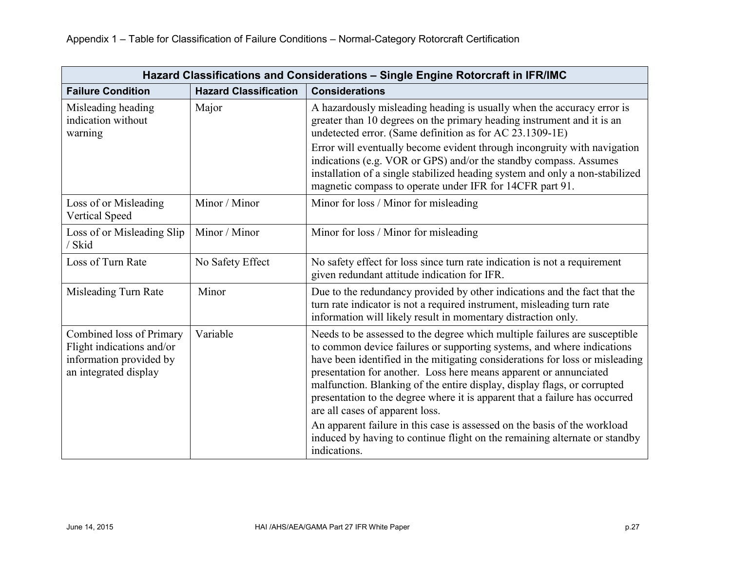| Hazard Classifications and Considerations - Single Engine Rotorcraft in IFR/IMC                           |                              |                                                                                                                                                                                                                                                                                                                                                                                                                                                                                                                                                                                                                                                                                    |  |
|-----------------------------------------------------------------------------------------------------------|------------------------------|------------------------------------------------------------------------------------------------------------------------------------------------------------------------------------------------------------------------------------------------------------------------------------------------------------------------------------------------------------------------------------------------------------------------------------------------------------------------------------------------------------------------------------------------------------------------------------------------------------------------------------------------------------------------------------|--|
| <b>Failure Condition</b>                                                                                  | <b>Hazard Classification</b> | <b>Considerations</b>                                                                                                                                                                                                                                                                                                                                                                                                                                                                                                                                                                                                                                                              |  |
| Misleading heading<br>indication without<br>warning                                                       | Major                        | A hazardously misleading heading is usually when the accuracy error is<br>greater than 10 degrees on the primary heading instrument and it is an<br>undetected error. (Same definition as for AC 23.1309-1E)<br>Error will eventually become evident through incongruity with navigation<br>indications (e.g. VOR or GPS) and/or the standby compass. Assumes<br>installation of a single stabilized heading system and only a non-stabilized<br>magnetic compass to operate under IFR for 14CFR part 91.                                                                                                                                                                          |  |
| Loss of or Misleading<br><b>Vertical Speed</b>                                                            | Minor / Minor                | Minor for loss / Minor for misleading                                                                                                                                                                                                                                                                                                                                                                                                                                                                                                                                                                                                                                              |  |
| Loss of or Misleading Slip<br>/ Skid                                                                      | Minor / Minor                | Minor for loss / Minor for misleading                                                                                                                                                                                                                                                                                                                                                                                                                                                                                                                                                                                                                                              |  |
| Loss of Turn Rate                                                                                         | No Safety Effect             | No safety effect for loss since turn rate indication is not a requirement<br>given redundant attitude indication for IFR.                                                                                                                                                                                                                                                                                                                                                                                                                                                                                                                                                          |  |
| Misleading Turn Rate                                                                                      | Minor                        | Due to the redundancy provided by other indications and the fact that the<br>turn rate indicator is not a required instrument, misleading turn rate<br>information will likely result in momentary distraction only.                                                                                                                                                                                                                                                                                                                                                                                                                                                               |  |
| Combined loss of Primary<br>Flight indications and/or<br>information provided by<br>an integrated display | Variable                     | Needs to be assessed to the degree which multiple failures are susceptible<br>to common device failures or supporting systems, and where indications<br>have been identified in the mitigating considerations for loss or misleading<br>presentation for another. Loss here means apparent or annunciated<br>malfunction. Blanking of the entire display, display flags, or corrupted<br>presentation to the degree where it is apparent that a failure has occurred<br>are all cases of apparent loss.<br>An apparent failure in this case is assessed on the basis of the workload<br>induced by having to continue flight on the remaining alternate or standby<br>indications. |  |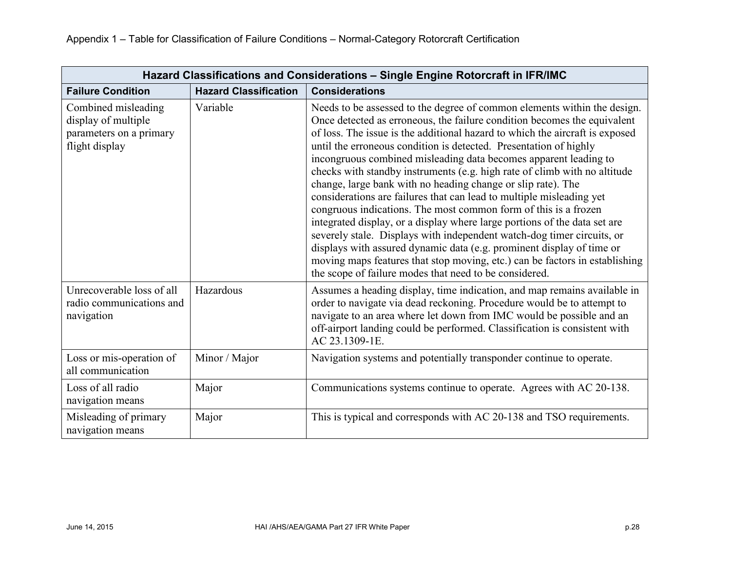| Hazard Classifications and Considerations - Single Engine Rotorcraft in IFR/IMC         |                              |                                                                                                                                                                                                                                                                                                                                                                                                                                                                                                                                                                                                                                                                                                                                                                                                                                                                                                                                                                                                                                                |  |
|-----------------------------------------------------------------------------------------|------------------------------|------------------------------------------------------------------------------------------------------------------------------------------------------------------------------------------------------------------------------------------------------------------------------------------------------------------------------------------------------------------------------------------------------------------------------------------------------------------------------------------------------------------------------------------------------------------------------------------------------------------------------------------------------------------------------------------------------------------------------------------------------------------------------------------------------------------------------------------------------------------------------------------------------------------------------------------------------------------------------------------------------------------------------------------------|--|
| <b>Failure Condition</b>                                                                | <b>Hazard Classification</b> | <b>Considerations</b>                                                                                                                                                                                                                                                                                                                                                                                                                                                                                                                                                                                                                                                                                                                                                                                                                                                                                                                                                                                                                          |  |
| Combined misleading<br>display of multiple<br>parameters on a primary<br>flight display | Variable                     | Needs to be assessed to the degree of common elements within the design.<br>Once detected as erroneous, the failure condition becomes the equivalent<br>of loss. The issue is the additional hazard to which the aircraft is exposed<br>until the erroneous condition is detected. Presentation of highly<br>incongruous combined misleading data becomes apparent leading to<br>checks with standby instruments (e.g. high rate of climb with no altitude<br>change, large bank with no heading change or slip rate). The<br>considerations are failures that can lead to multiple misleading yet<br>congruous indications. The most common form of this is a frozen<br>integrated display, or a display where large portions of the data set are<br>severely stale. Displays with independent watch-dog timer circuits, or<br>displays with assured dynamic data (e.g. prominent display of time or<br>moving maps features that stop moving, etc.) can be factors in establishing<br>the scope of failure modes that need to be considered. |  |
| Unrecoverable loss of all<br>radio communications and<br>navigation                     | Hazardous                    | Assumes a heading display, time indication, and map remains available in<br>order to navigate via dead reckoning. Procedure would be to attempt to<br>navigate to an area where let down from IMC would be possible and an<br>off-airport landing could be performed. Classification is consistent with<br>AC 23.1309-1E.                                                                                                                                                                                                                                                                                                                                                                                                                                                                                                                                                                                                                                                                                                                      |  |
| Loss or mis-operation of<br>all communication                                           | Minor / Major                | Navigation systems and potentially transponder continue to operate.                                                                                                                                                                                                                                                                                                                                                                                                                                                                                                                                                                                                                                                                                                                                                                                                                                                                                                                                                                            |  |
| Loss of all radio<br>navigation means                                                   | Major                        | Communications systems continue to operate. Agrees with AC 20-138.                                                                                                                                                                                                                                                                                                                                                                                                                                                                                                                                                                                                                                                                                                                                                                                                                                                                                                                                                                             |  |
| Misleading of primary<br>navigation means                                               | Major                        | This is typical and corresponds with AC 20-138 and TSO requirements.                                                                                                                                                                                                                                                                                                                                                                                                                                                                                                                                                                                                                                                                                                                                                                                                                                                                                                                                                                           |  |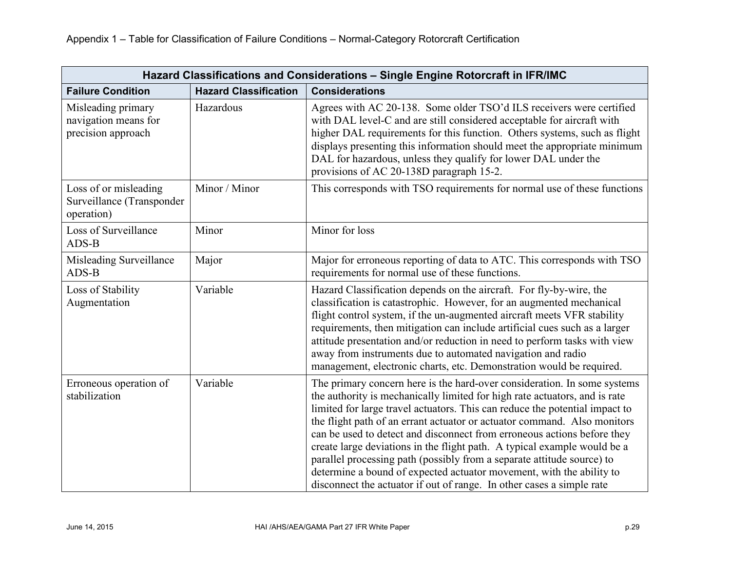| Hazard Classifications and Considerations - Single Engine Rotorcraft in IFR/IMC |                              |                                                                                                                                                                                                                                                                                                                                                                                                                                                                                                                                                                                                                                                                                                     |  |
|---------------------------------------------------------------------------------|------------------------------|-----------------------------------------------------------------------------------------------------------------------------------------------------------------------------------------------------------------------------------------------------------------------------------------------------------------------------------------------------------------------------------------------------------------------------------------------------------------------------------------------------------------------------------------------------------------------------------------------------------------------------------------------------------------------------------------------------|--|
| <b>Failure Condition</b>                                                        | <b>Hazard Classification</b> | <b>Considerations</b>                                                                                                                                                                                                                                                                                                                                                                                                                                                                                                                                                                                                                                                                               |  |
| Misleading primary<br>navigation means for<br>precision approach                | Hazardous                    | Agrees with AC 20-138. Some older TSO'd ILS receivers were certified<br>with DAL level-C and are still considered acceptable for aircraft with<br>higher DAL requirements for this function. Others systems, such as flight<br>displays presenting this information should meet the appropriate minimum<br>DAL for hazardous, unless they qualify for lower DAL under the<br>provisions of AC 20-138D paragraph 15-2.                                                                                                                                                                                                                                                                               |  |
| Loss of or misleading<br>Surveillance (Transponder<br>operation)                | Minor / Minor                | This corresponds with TSO requirements for normal use of these functions                                                                                                                                                                                                                                                                                                                                                                                                                                                                                                                                                                                                                            |  |
| Loss of Surveillance<br>ADS-B                                                   | Minor                        | Minor for loss                                                                                                                                                                                                                                                                                                                                                                                                                                                                                                                                                                                                                                                                                      |  |
| Misleading Surveillance<br>ADS-B                                                | Major                        | Major for erroneous reporting of data to ATC. This corresponds with TSO<br>requirements for normal use of these functions.                                                                                                                                                                                                                                                                                                                                                                                                                                                                                                                                                                          |  |
| Loss of Stability<br>Augmentation                                               | Variable                     | Hazard Classification depends on the aircraft. For fly-by-wire, the<br>classification is catastrophic. However, for an augmented mechanical<br>flight control system, if the un-augmented aircraft meets VFR stability<br>requirements, then mitigation can include artificial cues such as a larger<br>attitude presentation and/or reduction in need to perform tasks with view<br>away from instruments due to automated navigation and radio<br>management, electronic charts, etc. Demonstration would be required.                                                                                                                                                                            |  |
| Erroneous operation of<br>stabilization                                         | Variable                     | The primary concern here is the hard-over consideration. In some systems<br>the authority is mechanically limited for high rate actuators, and is rate<br>limited for large travel actuators. This can reduce the potential impact to<br>the flight path of an errant actuator or actuator command. Also monitors<br>can be used to detect and disconnect from erroneous actions before they<br>create large deviations in the flight path. A typical example would be a<br>parallel processing path (possibly from a separate attitude source) to<br>determine a bound of expected actuator movement, with the ability to<br>disconnect the actuator if out of range. In other cases a simple rate |  |